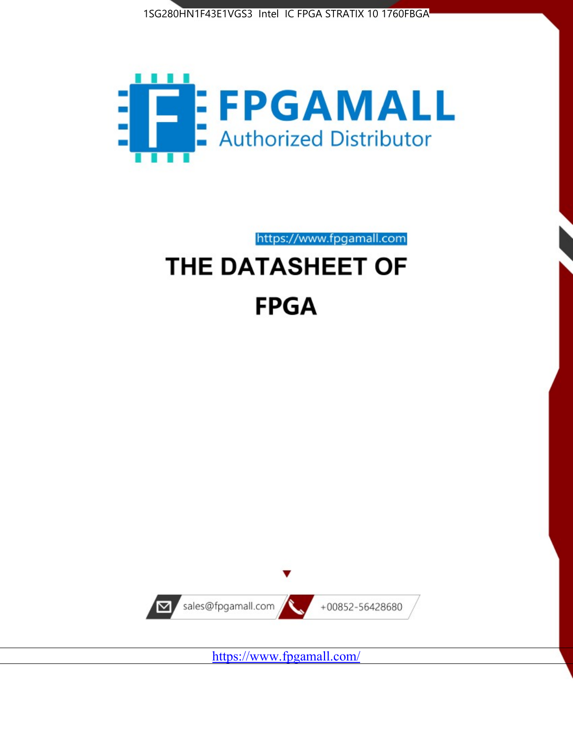



https://www.fpgamall.com

# THE DATASHEET OF **FPGA**



<https://www.fpgamall.com/>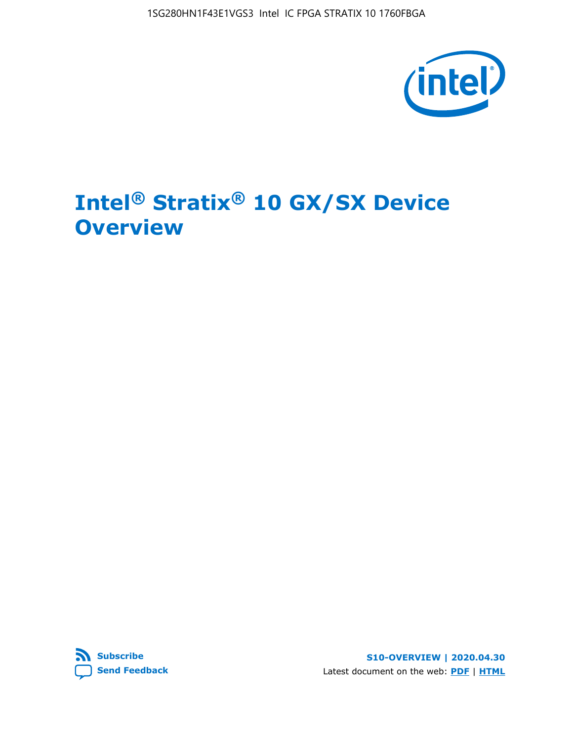1SG280HN1F43E1VGS3 Intel IC FPGA STRATIX 10 1760FBGA



# **Intel® Stratix® 10 GX/SX Device Overview**



**S10-OVERVIEW | 2020.04.30** Latest document on the web: **[PDF](https://www.intel.com/content/dam/www/programmable/us/en/pdfs/literature/hb/stratix-10/s10-overview.pdf)** | **[HTML](https://www.intel.com/content/www/us/en/programmable/documentation/joc1442261161666.html)**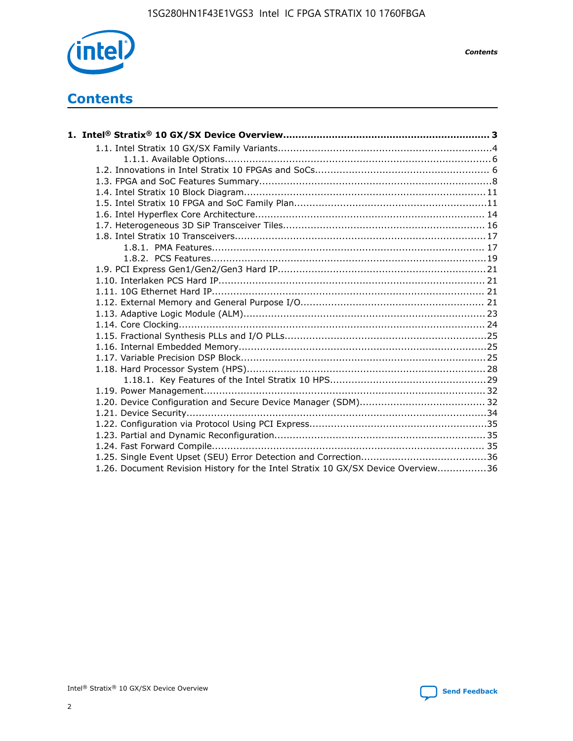

*Contents*

# **Contents**

| 1.26. Document Revision History for the Intel Stratix 10 GX/SX Device Overview36 |  |
|----------------------------------------------------------------------------------|--|

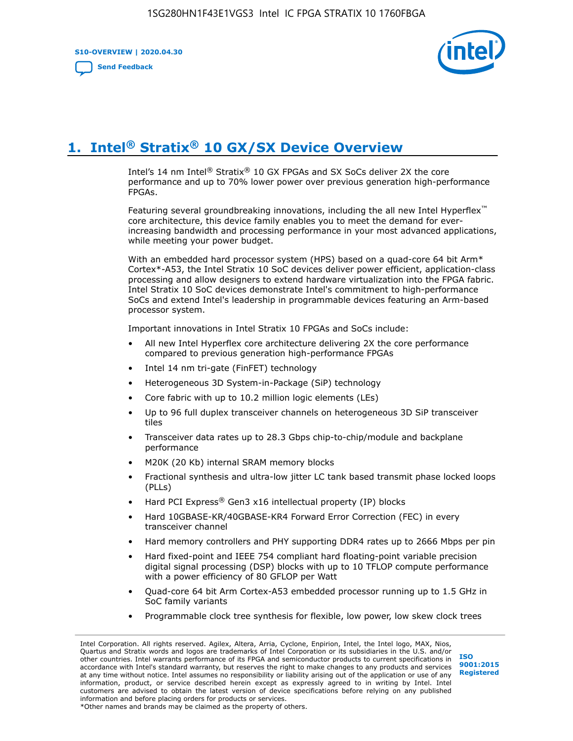**S10-OVERVIEW | 2020.04.30**

**[Send Feedback](mailto:FPGAtechdocfeedback@intel.com?subject=Feedback%20on%20Intel%20Stratix%2010%20GX/SX%20Device%20Overview%20(S10-OVERVIEW%202020.04.30)&body=We%20appreciate%20your%20feedback.%20In%20your%20comments,%20also%20specify%20the%20page%20number%20or%20paragraph.%20Thank%20you.)**



# **1. Intel® Stratix® 10 GX/SX Device Overview**

Intel's 14 nm Intel® Stratix® 10 GX FPGAs and SX SoCs deliver 2X the core performance and up to 70% lower power over previous generation high-performance FPGAs.

Featuring several groundbreaking innovations, including the all new Intel Hyperflex™ core architecture, this device family enables you to meet the demand for everincreasing bandwidth and processing performance in your most advanced applications, while meeting your power budget.

With an embedded hard processor system (HPS) based on a quad-core 64 bit Arm\* Cortex\*-A53, the Intel Stratix 10 SoC devices deliver power efficient, application-class processing and allow designers to extend hardware virtualization into the FPGA fabric. Intel Stratix 10 SoC devices demonstrate Intel's commitment to high-performance SoCs and extend Intel's leadership in programmable devices featuring an Arm-based processor system.

Important innovations in Intel Stratix 10 FPGAs and SoCs include:

- All new Intel Hyperflex core architecture delivering 2X the core performance compared to previous generation high-performance FPGAs
- Intel 14 nm tri-gate (FinFET) technology
- Heterogeneous 3D System-in-Package (SiP) technology
- Core fabric with up to 10.2 million logic elements (LEs)
- Up to 96 full duplex transceiver channels on heterogeneous 3D SiP transceiver tiles
- Transceiver data rates up to 28.3 Gbps chip-to-chip/module and backplane performance
- M20K (20 Kb) internal SRAM memory blocks
- Fractional synthesis and ultra-low jitter LC tank based transmit phase locked loops (PLLs)
- Hard PCI Express<sup>®</sup> Gen3 x16 intellectual property (IP) blocks
- Hard 10GBASE-KR/40GBASE-KR4 Forward Error Correction (FEC) in every transceiver channel
- Hard memory controllers and PHY supporting DDR4 rates up to 2666 Mbps per pin
- Hard fixed-point and IEEE 754 compliant hard floating-point variable precision digital signal processing (DSP) blocks with up to 10 TFLOP compute performance with a power efficiency of 80 GFLOP per Watt
- Quad-core 64 bit Arm Cortex-A53 embedded processor running up to 1.5 GHz in SoC family variants
- Programmable clock tree synthesis for flexible, low power, low skew clock trees

Intel Corporation. All rights reserved. Agilex, Altera, Arria, Cyclone, Enpirion, Intel, the Intel logo, MAX, Nios, Quartus and Stratix words and logos are trademarks of Intel Corporation or its subsidiaries in the U.S. and/or other countries. Intel warrants performance of its FPGA and semiconductor products to current specifications in accordance with Intel's standard warranty, but reserves the right to make changes to any products and services at any time without notice. Intel assumes no responsibility or liability arising out of the application or use of any information, product, or service described herein except as expressly agreed to in writing by Intel. Intel customers are advised to obtain the latest version of device specifications before relying on any published information and before placing orders for products or services. \*Other names and brands may be claimed as the property of others.

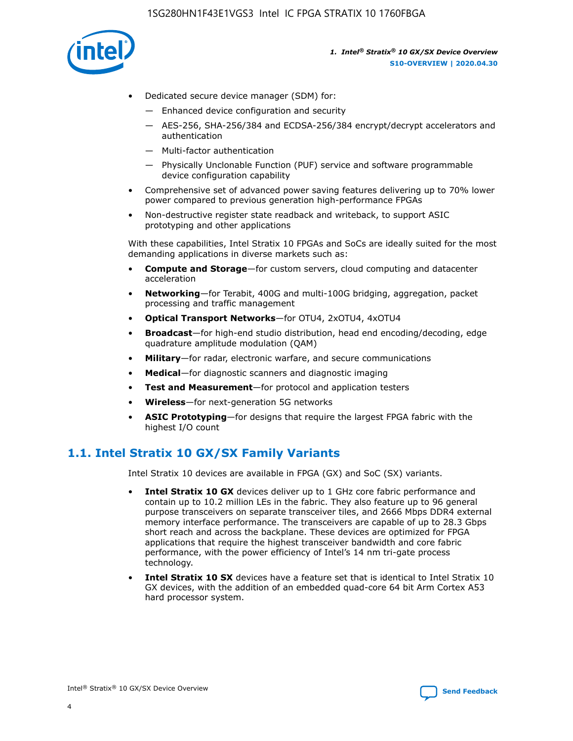

- Dedicated secure device manager (SDM) for:
	- Enhanced device configuration and security
	- AES-256, SHA-256/384 and ECDSA-256/384 encrypt/decrypt accelerators and authentication
	- Multi-factor authentication
	- Physically Unclonable Function (PUF) service and software programmable device configuration capability
- Comprehensive set of advanced power saving features delivering up to 70% lower power compared to previous generation high-performance FPGAs
- Non-destructive register state readback and writeback, to support ASIC prototyping and other applications

With these capabilities, Intel Stratix 10 FPGAs and SoCs are ideally suited for the most demanding applications in diverse markets such as:

- **Compute and Storage**—for custom servers, cloud computing and datacenter acceleration
- **Networking**—for Terabit, 400G and multi-100G bridging, aggregation, packet processing and traffic management
- **Optical Transport Networks**—for OTU4, 2xOTU4, 4xOTU4
- **Broadcast**—for high-end studio distribution, head end encoding/decoding, edge quadrature amplitude modulation (QAM)
- **Military**—for radar, electronic warfare, and secure communications
- **Medical**—for diagnostic scanners and diagnostic imaging
- **Test and Measurement**—for protocol and application testers
- **Wireless**—for next-generation 5G networks
- **ASIC Prototyping**—for designs that require the largest FPGA fabric with the highest I/O count

## **1.1. Intel Stratix 10 GX/SX Family Variants**

Intel Stratix 10 devices are available in FPGA (GX) and SoC (SX) variants.

- **Intel Stratix 10 GX** devices deliver up to 1 GHz core fabric performance and contain up to 10.2 million LEs in the fabric. They also feature up to 96 general purpose transceivers on separate transceiver tiles, and 2666 Mbps DDR4 external memory interface performance. The transceivers are capable of up to 28.3 Gbps short reach and across the backplane. These devices are optimized for FPGA applications that require the highest transceiver bandwidth and core fabric performance, with the power efficiency of Intel's 14 nm tri-gate process technology.
- **Intel Stratix 10 SX** devices have a feature set that is identical to Intel Stratix 10 GX devices, with the addition of an embedded quad-core 64 bit Arm Cortex A53 hard processor system.

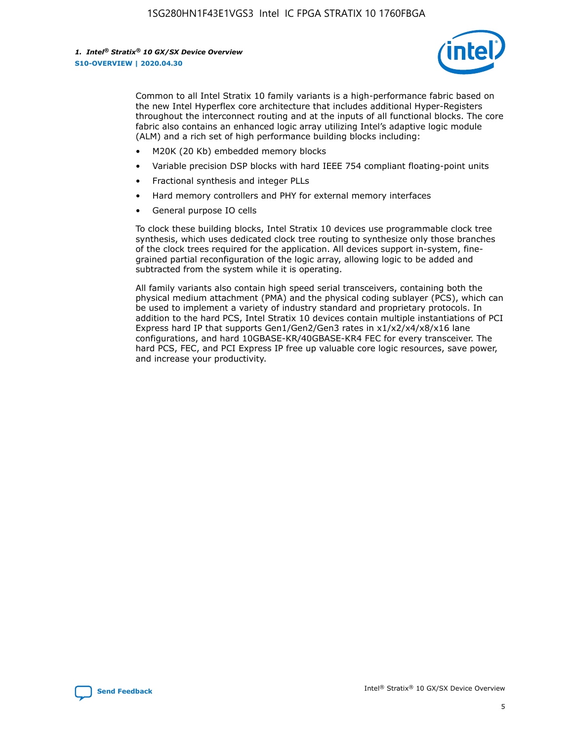

Common to all Intel Stratix 10 family variants is a high-performance fabric based on the new Intel Hyperflex core architecture that includes additional Hyper-Registers throughout the interconnect routing and at the inputs of all functional blocks. The core fabric also contains an enhanced logic array utilizing Intel's adaptive logic module (ALM) and a rich set of high performance building blocks including:

- M20K (20 Kb) embedded memory blocks
- Variable precision DSP blocks with hard IEEE 754 compliant floating-point units
- Fractional synthesis and integer PLLs
- Hard memory controllers and PHY for external memory interfaces
- General purpose IO cells

To clock these building blocks, Intel Stratix 10 devices use programmable clock tree synthesis, which uses dedicated clock tree routing to synthesize only those branches of the clock trees required for the application. All devices support in-system, finegrained partial reconfiguration of the logic array, allowing logic to be added and subtracted from the system while it is operating.

All family variants also contain high speed serial transceivers, containing both the physical medium attachment (PMA) and the physical coding sublayer (PCS), which can be used to implement a variety of industry standard and proprietary protocols. In addition to the hard PCS, Intel Stratix 10 devices contain multiple instantiations of PCI Express hard IP that supports Gen1/Gen2/Gen3 rates in x1/x2/x4/x8/x16 lane configurations, and hard 10GBASE-KR/40GBASE-KR4 FEC for every transceiver. The hard PCS, FEC, and PCI Express IP free up valuable core logic resources, save power, and increase your productivity.

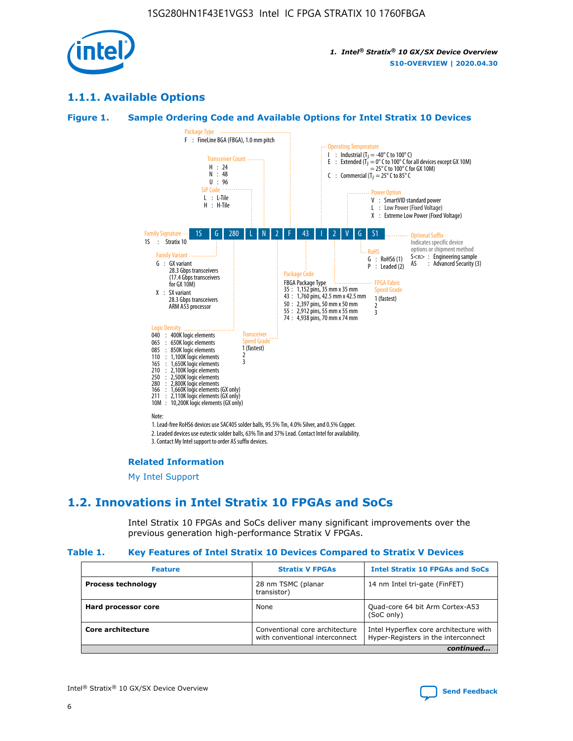

## **1.1.1. Available Options**

### **Figure 1. Sample Ordering Code and Available Options for Intel Stratix 10 Devices**



3. Contact My Intel support to order AS suffix devices.

#### **Related Information**

[My Intel Support](https://www.intel.com/content/www/us/en/programmable/my-intel/mal-home.html)

## **1.2. Innovations in Intel Stratix 10 FPGAs and SoCs**

Intel Stratix 10 FPGAs and SoCs deliver many significant improvements over the previous generation high-performance Stratix V FPGAs.

#### **Table 1. Key Features of Intel Stratix 10 Devices Compared to Stratix V Devices**

| <b>Feature</b>            | <b>Stratix V FPGAs</b>                                           | <b>Intel Stratix 10 FPGAs and SoCs</b>                                        |  |
|---------------------------|------------------------------------------------------------------|-------------------------------------------------------------------------------|--|
| <b>Process technology</b> | 28 nm TSMC (planar<br>transistor)                                | 14 nm Intel tri-gate (FinFET)                                                 |  |
| Hard processor core       | None                                                             | Quad-core 64 bit Arm Cortex-A53<br>(SoC only)                                 |  |
| Core architecture         | Conventional core architecture<br>with conventional interconnect | Intel Hyperflex core architecture with<br>Hyper-Registers in the interconnect |  |
|                           |                                                                  | continued                                                                     |  |

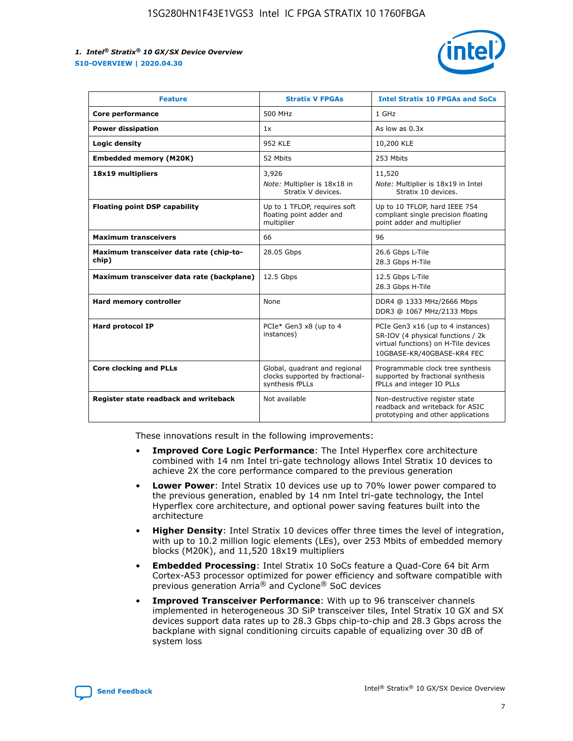

| <b>Feature</b>                                   | <b>Stratix V FPGAs</b>                                                              | <b>Intel Stratix 10 FPGAs and SoCs</b>                                                                                                       |
|--------------------------------------------------|-------------------------------------------------------------------------------------|----------------------------------------------------------------------------------------------------------------------------------------------|
| Core performance                                 | 500 MHz                                                                             | 1 GHz                                                                                                                                        |
| <b>Power dissipation</b>                         | 1x                                                                                  | As low as $0.3x$                                                                                                                             |
| Logic density                                    | <b>952 KLE</b>                                                                      | 10,200 KLE                                                                                                                                   |
| <b>Embedded memory (M20K)</b>                    | 52 Mbits                                                                            | 253 Mbits                                                                                                                                    |
| 18x19 multipliers                                | 3,926                                                                               | 11,520                                                                                                                                       |
|                                                  | Note: Multiplier is 18x18 in<br>Stratix V devices.                                  | Note: Multiplier is 18x19 in Intel<br>Stratix 10 devices.                                                                                    |
| <b>Floating point DSP capability</b>             | Up to 1 TFLOP, requires soft<br>floating point adder and<br>multiplier              | Up to 10 TFLOP, hard IEEE 754<br>compliant single precision floating<br>point adder and multiplier                                           |
| <b>Maximum transceivers</b>                      | 66                                                                                  | 96                                                                                                                                           |
| Maximum transceiver data rate (chip-to-<br>chip) | 28.05 Gbps                                                                          | 26.6 Gbps L-Tile<br>28.3 Gbps H-Tile                                                                                                         |
| Maximum transceiver data rate (backplane)        | 12.5 Gbps                                                                           | 12.5 Gbps L-Tile<br>28.3 Gbps H-Tile                                                                                                         |
| Hard memory controller                           | None                                                                                | DDR4 @ 1333 MHz/2666 Mbps<br>DDR3 @ 1067 MHz/2133 Mbps                                                                                       |
| Hard protocol IP                                 | PCIe* Gen3 x8 (up to 4<br>instances)                                                | PCIe Gen3 x16 (up to 4 instances)<br>SR-IOV (4 physical functions / 2k<br>virtual functions) on H-Tile devices<br>10GBASE-KR/40GBASE-KR4 FEC |
| <b>Core clocking and PLLs</b>                    | Global, quadrant and regional<br>clocks supported by fractional-<br>synthesis fPLLs | Programmable clock tree synthesis<br>supported by fractional synthesis<br>fPLLs and integer IO PLLs                                          |
| Register state readback and writeback            | Not available                                                                       | Non-destructive register state<br>readback and writeback for ASIC<br>prototyping and other applications                                      |

These innovations result in the following improvements:

- **Improved Core Logic Performance**: The Intel Hyperflex core architecture combined with 14 nm Intel tri-gate technology allows Intel Stratix 10 devices to achieve 2X the core performance compared to the previous generation
- **Lower Power**: Intel Stratix 10 devices use up to 70% lower power compared to the previous generation, enabled by 14 nm Intel tri-gate technology, the Intel Hyperflex core architecture, and optional power saving features built into the architecture
- **Higher Density**: Intel Stratix 10 devices offer three times the level of integration, with up to 10.2 million logic elements (LEs), over 253 Mbits of embedded memory blocks (M20K), and 11,520 18x19 multipliers
- **Embedded Processing**: Intel Stratix 10 SoCs feature a Quad-Core 64 bit Arm Cortex-A53 processor optimized for power efficiency and software compatible with previous generation Arria® and Cyclone® SoC devices
- **Improved Transceiver Performance**: With up to 96 transceiver channels implemented in heterogeneous 3D SiP transceiver tiles, Intel Stratix 10 GX and SX devices support data rates up to 28.3 Gbps chip-to-chip and 28.3 Gbps across the backplane with signal conditioning circuits capable of equalizing over 30 dB of system loss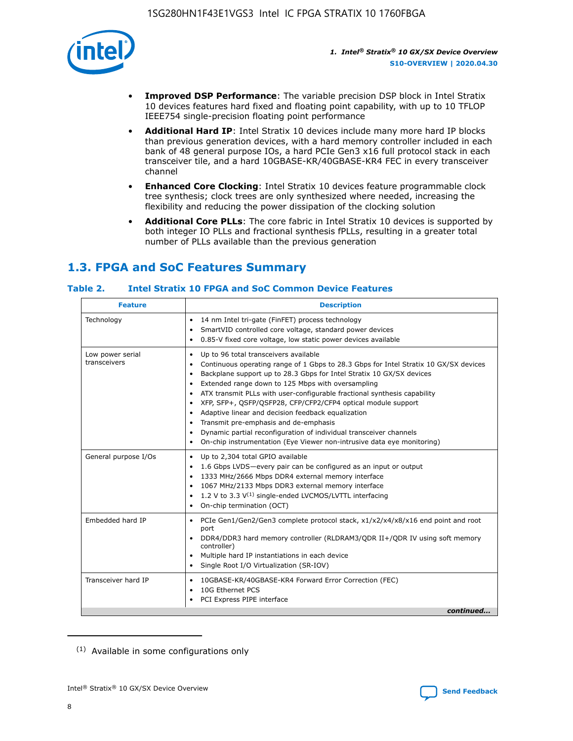

- **Improved DSP Performance**: The variable precision DSP block in Intel Stratix 10 devices features hard fixed and floating point capability, with up to 10 TFLOP IEEE754 single-precision floating point performance
- **Additional Hard IP**: Intel Stratix 10 devices include many more hard IP blocks than previous generation devices, with a hard memory controller included in each bank of 48 general purpose IOs, a hard PCIe Gen3 x16 full protocol stack in each transceiver tile, and a hard 10GBASE-KR/40GBASE-KR4 FEC in every transceiver channel
- **Enhanced Core Clocking**: Intel Stratix 10 devices feature programmable clock tree synthesis; clock trees are only synthesized where needed, increasing the flexibility and reducing the power dissipation of the clocking solution
- **Additional Core PLLs**: The core fabric in Intel Stratix 10 devices is supported by both integer IO PLLs and fractional synthesis fPLLs, resulting in a greater total number of PLLs available than the previous generation

## **1.3. FPGA and SoC Features Summary**

## **Table 2. Intel Stratix 10 FPGA and SoC Common Device Features**

| Technology<br>14 nm Intel tri-gate (FinFET) process technology<br>$\bullet$<br>SmartVID controlled core voltage, standard power devices<br>٠<br>0.85-V fixed core voltage, low static power devices available<br>٠<br>Up to 96 total transceivers available<br>Low power serial<br>٠<br>transceivers<br>Backplane support up to 28.3 Gbps for Intel Stratix 10 GX/SX devices<br>$\bullet$<br>Extended range down to 125 Mbps with oversampling<br>$\bullet$<br>• ATX transmit PLLs with user-configurable fractional synthesis capability<br>• XFP, SFP+, QSFP/QSFP28, CFP/CFP2/CFP4 optical module support<br>• Adaptive linear and decision feedback equalization<br>Transmit pre-emphasis and de-emphasis<br>Dynamic partial reconfiguration of individual transceiver channels<br>٠<br>On-chip instrumentation (Eye Viewer non-intrusive data eye monitoring)<br>$\bullet$<br>General purpose I/Os<br>Up to 2,304 total GPIO available<br>$\bullet$<br>1.6 Gbps LVDS-every pair can be configured as an input or output<br>$\bullet$<br>1333 MHz/2666 Mbps DDR4 external memory interface<br>1067 MHz/2133 Mbps DDR3 external memory interface<br>$\bullet$ 1.2 V to 3.3 V <sup>(1)</sup> single-ended LVCMOS/LVTTL interfacing | <b>Feature</b> | <b>Description</b>                                                                                                                                              |
|-------------------------------------------------------------------------------------------------------------------------------------------------------------------------------------------------------------------------------------------------------------------------------------------------------------------------------------------------------------------------------------------------------------------------------------------------------------------------------------------------------------------------------------------------------------------------------------------------------------------------------------------------------------------------------------------------------------------------------------------------------------------------------------------------------------------------------------------------------------------------------------------------------------------------------------------------------------------------------------------------------------------------------------------------------------------------------------------------------------------------------------------------------------------------------------------------------------------------------------|----------------|-----------------------------------------------------------------------------------------------------------------------------------------------------------------|
|                                                                                                                                                                                                                                                                                                                                                                                                                                                                                                                                                                                                                                                                                                                                                                                                                                                                                                                                                                                                                                                                                                                                                                                                                                     |                |                                                                                                                                                                 |
|                                                                                                                                                                                                                                                                                                                                                                                                                                                                                                                                                                                                                                                                                                                                                                                                                                                                                                                                                                                                                                                                                                                                                                                                                                     |                | Continuous operating range of 1 Gbps to 28.3 Gbps for Intel Stratix 10 GX/SX devices                                                                            |
|                                                                                                                                                                                                                                                                                                                                                                                                                                                                                                                                                                                                                                                                                                                                                                                                                                                                                                                                                                                                                                                                                                                                                                                                                                     |                | • On-chip termination (OCT)                                                                                                                                     |
| Embedded hard IP<br>port<br>controller)<br>• Multiple hard IP instantiations in each device<br>• Single Root I/O Virtualization (SR-IOV)                                                                                                                                                                                                                                                                                                                                                                                                                                                                                                                                                                                                                                                                                                                                                                                                                                                                                                                                                                                                                                                                                            |                | • PCIe Gen1/Gen2/Gen3 complete protocol stack, x1/x2/x4/x8/x16 end point and root<br>DDR4/DDR3 hard memory controller (RLDRAM3/QDR II+/QDR IV using soft memory |
| Transceiver hard IP<br>10GBASE-KR/40GBASE-KR4 Forward Error Correction (FEC)<br>$\bullet$<br>10G Ethernet PCS<br>٠<br>PCI Express PIPE interface<br>٠                                                                                                                                                                                                                                                                                                                                                                                                                                                                                                                                                                                                                                                                                                                                                                                                                                                                                                                                                                                                                                                                               |                | continued                                                                                                                                                       |

<sup>(1)</sup> Available in some configurations only

8

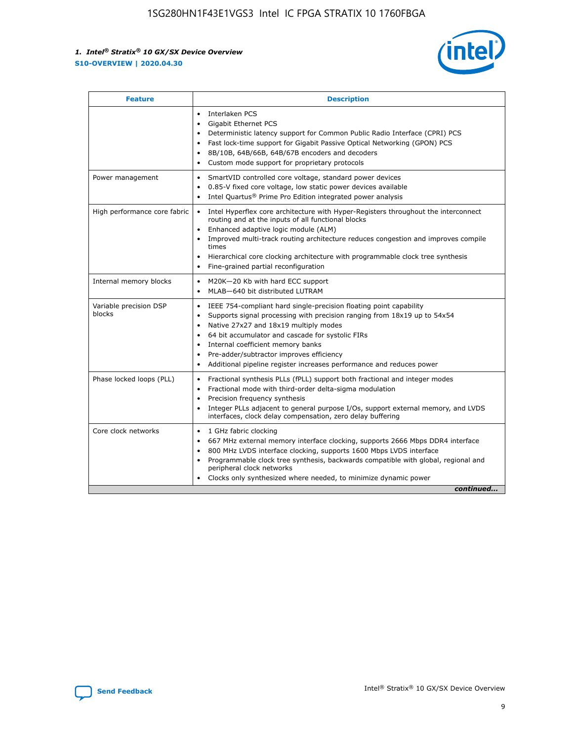

| <b>Feature</b>                   | <b>Description</b>                                                                                                                                                                                                                                                                                                                                                                                                                                                    |  |  |  |
|----------------------------------|-----------------------------------------------------------------------------------------------------------------------------------------------------------------------------------------------------------------------------------------------------------------------------------------------------------------------------------------------------------------------------------------------------------------------------------------------------------------------|--|--|--|
|                                  | Interlaken PCS<br>$\bullet$<br>Gigabit Ethernet PCS<br>$\bullet$<br>Deterministic latency support for Common Public Radio Interface (CPRI) PCS<br>$\bullet$<br>Fast lock-time support for Gigabit Passive Optical Networking (GPON) PCS<br>$\bullet$<br>8B/10B, 64B/66B, 64B/67B encoders and decoders<br>$\bullet$<br>Custom mode support for proprietary protocols<br>$\bullet$                                                                                     |  |  |  |
| Power management                 | SmartVID controlled core voltage, standard power devices<br>$\bullet$<br>0.85-V fixed core voltage, low static power devices available<br>$\bullet$<br>Intel Quartus <sup>®</sup> Prime Pro Edition integrated power analysis<br>٠                                                                                                                                                                                                                                    |  |  |  |
| High performance core fabric     | Intel Hyperflex core architecture with Hyper-Registers throughout the interconnect<br>$\bullet$<br>routing and at the inputs of all functional blocks<br>Enhanced adaptive logic module (ALM)<br>$\bullet$<br>Improved multi-track routing architecture reduces congestion and improves compile<br>times<br>Hierarchical core clocking architecture with programmable clock tree synthesis<br>Fine-grained partial reconfiguration                                    |  |  |  |
| Internal memory blocks           | M20K-20 Kb with hard ECC support<br>٠<br>MLAB-640 bit distributed LUTRAM<br>$\bullet$                                                                                                                                                                                                                                                                                                                                                                                 |  |  |  |
| Variable precision DSP<br>blocks | IEEE 754-compliant hard single-precision floating point capability<br>$\bullet$<br>Supports signal processing with precision ranging from 18x19 up to 54x54<br>$\bullet$<br>Native 27x27 and 18x19 multiply modes<br>$\bullet$<br>64 bit accumulator and cascade for systolic FIRs<br>Internal coefficient memory banks<br>Pre-adder/subtractor improves efficiency<br>$\bullet$<br>Additional pipeline register increases performance and reduces power<br>$\bullet$ |  |  |  |
| Phase locked loops (PLL)         | Fractional synthesis PLLs (fPLL) support both fractional and integer modes<br>$\bullet$<br>Fractional mode with third-order delta-sigma modulation<br>Precision frequency synthesis<br>$\bullet$<br>Integer PLLs adjacent to general purpose I/Os, support external memory, and LVDS<br>$\bullet$<br>interfaces, clock delay compensation, zero delay buffering                                                                                                       |  |  |  |
| Core clock networks              | 1 GHz fabric clocking<br>$\bullet$<br>667 MHz external memory interface clocking, supports 2666 Mbps DDR4 interface<br>$\bullet$<br>800 MHz LVDS interface clocking, supports 1600 Mbps LVDS interface<br>$\bullet$<br>Programmable clock tree synthesis, backwards compatible with global, regional and<br>$\bullet$<br>peripheral clock networks<br>Clocks only synthesized where needed, to minimize dynamic power<br>continued                                    |  |  |  |

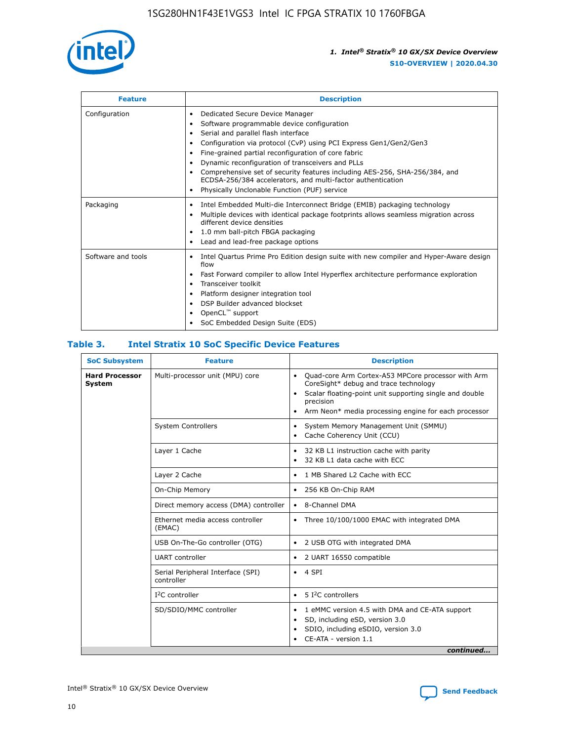

| <b>Feature</b>     | <b>Description</b>                                                                                                                                                                                                                                                                                                                                                                                                                                                                                                                                                   |
|--------------------|----------------------------------------------------------------------------------------------------------------------------------------------------------------------------------------------------------------------------------------------------------------------------------------------------------------------------------------------------------------------------------------------------------------------------------------------------------------------------------------------------------------------------------------------------------------------|
| Configuration      | Dedicated Secure Device Manager<br>$\bullet$<br>Software programmable device configuration<br>٠<br>Serial and parallel flash interface<br>٠<br>Configuration via protocol (CvP) using PCI Express Gen1/Gen2/Gen3<br>٠<br>Fine-grained partial reconfiguration of core fabric<br>$\bullet$<br>Dynamic reconfiguration of transceivers and PLLs<br>$\bullet$<br>Comprehensive set of security features including AES-256, SHA-256/384, and<br>ECDSA-256/384 accelerators, and multi-factor authentication<br>Physically Unclonable Function (PUF) service<br>$\bullet$ |
| Packaging          | Intel Embedded Multi-die Interconnect Bridge (EMIB) packaging technology<br>٠<br>Multiple devices with identical package footprints allows seamless migration across<br>$\bullet$<br>different device densities<br>1.0 mm ball-pitch FBGA packaging<br>$\bullet$<br>Lead and lead-free package options                                                                                                                                                                                                                                                               |
| Software and tools | Intel Quartus Prime Pro Edition design suite with new compiler and Hyper-Aware design<br>flow<br>Fast Forward compiler to allow Intel Hyperflex architecture performance exploration<br>$\bullet$<br>Transceiver toolkit<br>$\bullet$<br>Platform designer integration tool<br>DSP Builder advanced blockset<br>OpenCL <sup>™</sup> support<br>SoC Embedded Design Suite (EDS)                                                                                                                                                                                       |

## **Table 3. Intel Stratix 10 SoC Specific Device Features**

| <b>Hard Processor</b><br>Multi-processor unit (MPU) core<br>Quad-core Arm Cortex-A53 MPCore processor with Arm<br>$\bullet$<br>CoreSight* debug and trace technology<br>System<br>Scalar floating-point unit supporting single and double<br>$\bullet$<br>precision<br>Arm Neon* media processing engine for each processor<br>$\bullet$<br><b>System Controllers</b><br>System Memory Management Unit (SMMU)<br>$\bullet$<br>Cache Coherency Unit (CCU)<br>$\bullet$<br>Layer 1 Cache<br>32 KB L1 instruction cache with parity<br>$\bullet$<br>32 KB L1 data cache with ECC<br>$\bullet$<br>Layer 2 Cache<br>1 MB Shared L2 Cache with ECC<br>$\bullet$<br>On-Chip Memory<br>256 KB On-Chip RAM<br>٠<br>Direct memory access (DMA) controller<br>8-Channel DMA<br>$\bullet$<br>Ethernet media access controller<br>Three 10/100/1000 EMAC with integrated DMA<br>$\bullet$<br>(EMAC)<br>USB On-The-Go controller (OTG)<br>2 USB OTG with integrated DMA<br>$\bullet$<br><b>UART</b> controller<br>2 UART 16550 compatible<br>$\bullet$<br>Serial Peripheral Interface (SPI)<br>4 SPI<br>$\bullet$<br>controller<br>$I2C$ controller<br>5 I <sup>2</sup> C controllers<br>$\bullet$<br>SD/SDIO/MMC controller<br>1 eMMC version 4.5 with DMA and CE-ATA support<br>$\bullet$<br>SD, including eSD, version 3.0<br>$\bullet$<br>SDIO, including eSDIO, version 3.0<br>$\bullet$<br>CE-ATA - version 1.1 | <b>SoC Subsystem</b> | <b>Feature</b> | <b>Description</b> |  |  |
|---------------------------------------------------------------------------------------------------------------------------------------------------------------------------------------------------------------------------------------------------------------------------------------------------------------------------------------------------------------------------------------------------------------------------------------------------------------------------------------------------------------------------------------------------------------------------------------------------------------------------------------------------------------------------------------------------------------------------------------------------------------------------------------------------------------------------------------------------------------------------------------------------------------------------------------------------------------------------------------------------------------------------------------------------------------------------------------------------------------------------------------------------------------------------------------------------------------------------------------------------------------------------------------------------------------------------------------------------------------------------------------------------------|----------------------|----------------|--------------------|--|--|
|                                                                                                                                                                                                                                                                                                                                                                                                                                                                                                                                                                                                                                                                                                                                                                                                                                                                                                                                                                                                                                                                                                                                                                                                                                                                                                                                                                                                         |                      |                |                    |  |  |
|                                                                                                                                                                                                                                                                                                                                                                                                                                                                                                                                                                                                                                                                                                                                                                                                                                                                                                                                                                                                                                                                                                                                                                                                                                                                                                                                                                                                         |                      |                |                    |  |  |
|                                                                                                                                                                                                                                                                                                                                                                                                                                                                                                                                                                                                                                                                                                                                                                                                                                                                                                                                                                                                                                                                                                                                                                                                                                                                                                                                                                                                         |                      |                |                    |  |  |
|                                                                                                                                                                                                                                                                                                                                                                                                                                                                                                                                                                                                                                                                                                                                                                                                                                                                                                                                                                                                                                                                                                                                                                                                                                                                                                                                                                                                         |                      |                |                    |  |  |
|                                                                                                                                                                                                                                                                                                                                                                                                                                                                                                                                                                                                                                                                                                                                                                                                                                                                                                                                                                                                                                                                                                                                                                                                                                                                                                                                                                                                         |                      |                |                    |  |  |
|                                                                                                                                                                                                                                                                                                                                                                                                                                                                                                                                                                                                                                                                                                                                                                                                                                                                                                                                                                                                                                                                                                                                                                                                                                                                                                                                                                                                         |                      |                |                    |  |  |
|                                                                                                                                                                                                                                                                                                                                                                                                                                                                                                                                                                                                                                                                                                                                                                                                                                                                                                                                                                                                                                                                                                                                                                                                                                                                                                                                                                                                         |                      |                |                    |  |  |
|                                                                                                                                                                                                                                                                                                                                                                                                                                                                                                                                                                                                                                                                                                                                                                                                                                                                                                                                                                                                                                                                                                                                                                                                                                                                                                                                                                                                         |                      |                |                    |  |  |
|                                                                                                                                                                                                                                                                                                                                                                                                                                                                                                                                                                                                                                                                                                                                                                                                                                                                                                                                                                                                                                                                                                                                                                                                                                                                                                                                                                                                         |                      |                |                    |  |  |
|                                                                                                                                                                                                                                                                                                                                                                                                                                                                                                                                                                                                                                                                                                                                                                                                                                                                                                                                                                                                                                                                                                                                                                                                                                                                                                                                                                                                         |                      |                |                    |  |  |
|                                                                                                                                                                                                                                                                                                                                                                                                                                                                                                                                                                                                                                                                                                                                                                                                                                                                                                                                                                                                                                                                                                                                                                                                                                                                                                                                                                                                         |                      |                |                    |  |  |
| continued                                                                                                                                                                                                                                                                                                                                                                                                                                                                                                                                                                                                                                                                                                                                                                                                                                                                                                                                                                                                                                                                                                                                                                                                                                                                                                                                                                                               |                      |                |                    |  |  |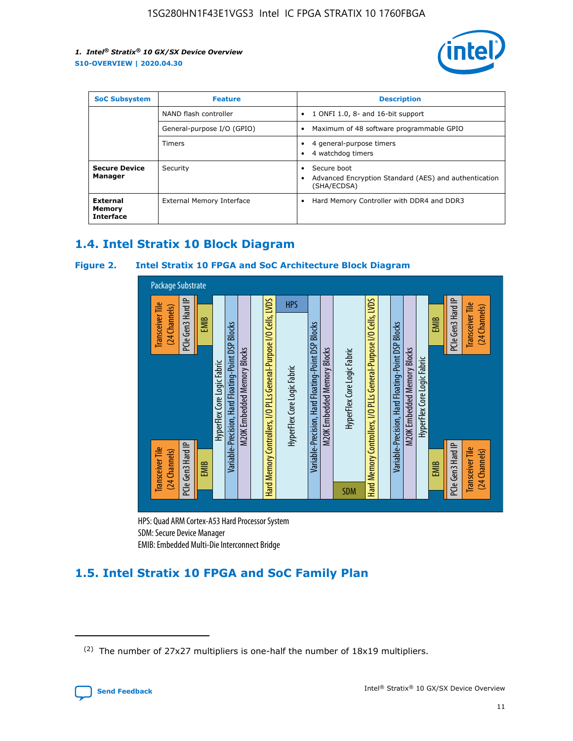

| <b>SoC Subsystem</b>                          | <b>Feature</b>             | <b>Description</b>                                                                                    |  |  |
|-----------------------------------------------|----------------------------|-------------------------------------------------------------------------------------------------------|--|--|
|                                               | NAND flash controller      | 1 ONFI 1.0, 8- and 16-bit support<br>$\bullet$                                                        |  |  |
|                                               | General-purpose I/O (GPIO) | Maximum of 48 software programmable GPIO<br>$\bullet$                                                 |  |  |
|                                               | <b>Timers</b>              | 4 general-purpose timers<br>٠<br>4 watchdog timers<br>٠                                               |  |  |
| <b>Secure Device</b><br>Manager               | Security                   | Secure boot<br>$\bullet$<br>Advanced Encryption Standard (AES) and authentication<br>٠<br>(SHA/ECDSA) |  |  |
| <b>External</b><br>Memory<br><b>Interface</b> | External Memory Interface  | Hard Memory Controller with DDR4 and DDR3<br>$\bullet$                                                |  |  |

## **1.4. Intel Stratix 10 Block Diagram**

## **Figure 2. Intel Stratix 10 FPGA and SoC Architecture Block Diagram**



HPS: Quad ARM Cortex-A53 Hard Processor System SDM: Secure Device Manager

## **1.5. Intel Stratix 10 FPGA and SoC Family Plan**

<sup>(2)</sup> The number of 27x27 multipliers is one-half the number of 18x19 multipliers.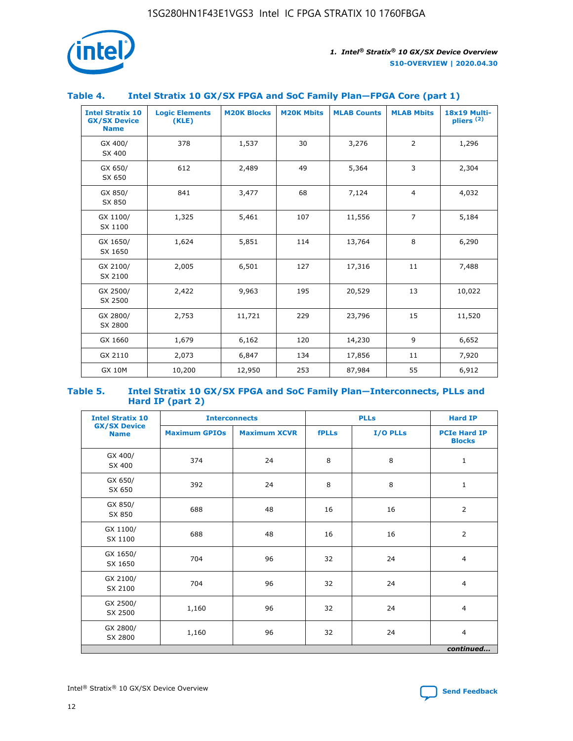

## **Table 4. Intel Stratix 10 GX/SX FPGA and SoC Family Plan—FPGA Core (part 1)**

| <b>Intel Stratix 10</b><br><b>GX/SX Device</b><br><b>Name</b> | <b>Logic Elements</b><br>(KLE) | <b>M20K Blocks</b> | <b>M20K Mbits</b> | <b>MLAB Counts</b> | <b>MLAB Mbits</b> | 18x19 Multi-<br>pliers <sup>(2)</sup> |
|---------------------------------------------------------------|--------------------------------|--------------------|-------------------|--------------------|-------------------|---------------------------------------|
| GX 400/<br>SX 400                                             | 378                            | 1,537              | 30                | 3,276              | $\overline{2}$    | 1,296                                 |
| GX 650/<br>SX 650                                             | 612                            | 2,489              | 49                | 5,364              | 3                 | 2,304                                 |
| GX 850/<br>SX 850                                             | 841                            | 3,477              | 68                | 7,124              | $\overline{4}$    | 4,032                                 |
| GX 1100/<br>SX 1100                                           | 1,325                          | 5,461              | 107               | 11,556             | $\overline{7}$    | 5,184                                 |
| GX 1650/<br>SX 1650                                           | 1,624                          | 5,851              | 114               | 13,764             | 8                 | 6,290                                 |
| GX 2100/<br>SX 2100                                           | 2,005                          | 6,501              | 127               | 17,316             | 11                | 7,488                                 |
| GX 2500/<br>SX 2500                                           | 2,422                          | 9,963              | 195               | 20,529             | 13                | 10,022                                |
| GX 2800/<br>SX 2800                                           | 2,753                          | 11,721             | 229               | 23,796             | 15                | 11,520                                |
| GX 1660                                                       | 1,679                          | 6,162              | 120               | 14,230             | 9                 | 6,652                                 |
| GX 2110                                                       | 2,073                          | 6,847              | 134               | 17,856             | 11                | 7,920                                 |
| <b>GX 10M</b>                                                 | 10,200                         | 12,950             | 253               | 87,984             | 55                | 6,912                                 |

#### **Table 5. Intel Stratix 10 GX/SX FPGA and SoC Family Plan—Interconnects, PLLs and Hard IP (part 2)**

| <b>Intel Stratix 10</b>            | <b>Interconnects</b> |                     | <b>PLLs</b>  |          | <b>Hard IP</b>                       |
|------------------------------------|----------------------|---------------------|--------------|----------|--------------------------------------|
| <b>GX/SX Device</b><br><b>Name</b> | <b>Maximum GPIOs</b> | <b>Maximum XCVR</b> | <b>fPLLs</b> | I/O PLLs | <b>PCIe Hard IP</b><br><b>Blocks</b> |
| GX 400/<br>SX 400                  | 374                  | 24                  | 8            | 8        | $\mathbf{1}$                         |
| GX 650/<br>SX 650                  | 392                  | 24                  | 8            | 8        | $\mathbf{1}$                         |
| GX 850/<br>SX 850                  | 688                  | 48                  | 16           | 16       | 2                                    |
| GX 1100/<br>SX 1100                | 688                  | 48                  | 16           | 16       | 2                                    |
| GX 1650/<br>SX 1650                | 704                  | 96                  | 32           | 24       | $\overline{4}$                       |
| GX 2100/<br>SX 2100                | 704                  | 96                  | 32           | 24       | $\overline{4}$                       |
| GX 2500/<br>SX 2500                | 1,160                | 96                  | 32           | 24       | $\overline{4}$                       |
| GX 2800/<br>SX 2800                | 1,160                | 96                  | 32           | 24       | $\overline{4}$                       |
|                                    |                      |                     |              |          | continued                            |

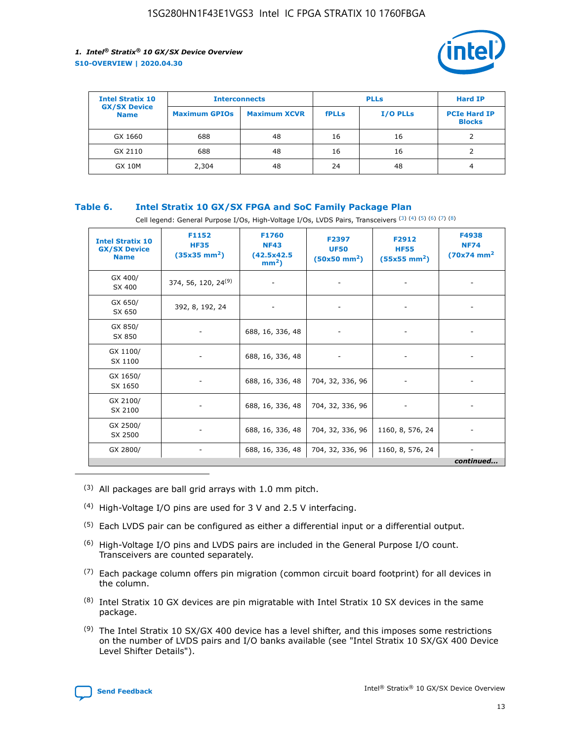

| <b>Intel Stratix 10</b>            | <b>Interconnects</b> |                     | <b>PLLs</b>  |                 | <b>Hard IP</b>                       |
|------------------------------------|----------------------|---------------------|--------------|-----------------|--------------------------------------|
| <b>GX/SX Device</b><br><b>Name</b> | <b>Maximum GPIOs</b> | <b>Maximum XCVR</b> | <b>fPLLs</b> | <b>I/O PLLs</b> | <b>PCIe Hard IP</b><br><b>Blocks</b> |
| GX 1660                            | 688                  | 48                  | 16           | 16              |                                      |
| GX 2110                            | 688                  | 48                  | 16           | 16              |                                      |
| <b>GX 10M</b>                      | 2,304                | 48                  | 24           | 48              | 4                                    |

## **Table 6. Intel Stratix 10 GX/SX FPGA and SoC Family Package Plan**

Cell legend: General Purpose I/Os, High-Voltage I/Os, LVDS Pairs, Transceivers (3) (4) (5) (6) (7) (8)

| <b>Intel Stratix 10</b><br><b>GX/SX Device</b><br><b>Name</b> | F1152<br><b>HF35</b><br>$(35x35 \text{ mm}^2)$ | F1760<br><b>NF43</b><br>(42.5x42.5<br>$mm2$ ) | F2397<br><b>UF50</b><br>$(50x50 \text{ mm}^2)$ | F2912<br><b>HF55</b><br>$(55x55$ mm <sup>2</sup> ) | F4938<br><b>NF74</b><br>$(70x74)$ mm <sup>2</sup> |
|---------------------------------------------------------------|------------------------------------------------|-----------------------------------------------|------------------------------------------------|----------------------------------------------------|---------------------------------------------------|
| GX 400/<br>SX 400                                             | 374, 56, 120, 24 <sup>(9)</sup>                | $\overline{\phantom{a}}$                      | $\overline{\phantom{a}}$                       | ۰                                                  |                                                   |
| GX 650/<br>SX 650                                             | 392, 8, 192, 24                                | $\overline{\phantom{a}}$                      | $\overline{\phantom{a}}$                       |                                                    |                                                   |
| GX 850/<br>SX 850                                             | ۰.                                             | 688, 16, 336, 48                              |                                                |                                                    |                                                   |
| GX 1100/<br>SX 1100                                           |                                                | 688, 16, 336, 48                              |                                                |                                                    |                                                   |
| GX 1650/<br>SX 1650                                           |                                                | 688, 16, 336, 48                              | 704, 32, 336, 96                               |                                                    |                                                   |
| GX 2100/<br>SX 2100                                           | -                                              | 688, 16, 336, 48                              | 704, 32, 336, 96                               | $\overline{\phantom{a}}$                           |                                                   |
| GX 2500/<br>SX 2500                                           |                                                | 688, 16, 336, 48                              | 704, 32, 336, 96                               | 1160, 8, 576, 24                                   |                                                   |
| GX 2800/                                                      | -                                              | 688, 16, 336, 48                              | 704, 32, 336, 96                               | 1160, 8, 576, 24                                   | $\overline{\phantom{a}}$<br>continued             |

- (3) All packages are ball grid arrays with 1.0 mm pitch.
- (4) High-Voltage I/O pins are used for 3 V and 2.5 V interfacing.
- $(5)$  Each LVDS pair can be configured as either a differential input or a differential output.
- (6) High-Voltage I/O pins and LVDS pairs are included in the General Purpose I/O count. Transceivers are counted separately.
- $(7)$  Each package column offers pin migration (common circuit board footprint) for all devices in the column.
- $(8)$  Intel Stratix 10 GX devices are pin migratable with Intel Stratix 10 SX devices in the same package.
- $(9)$  The Intel Stratix 10 SX/GX 400 device has a level shifter, and this imposes some restrictions on the number of LVDS pairs and I/O banks available (see "Intel Stratix 10 SX/GX 400 Device Level Shifter Details").

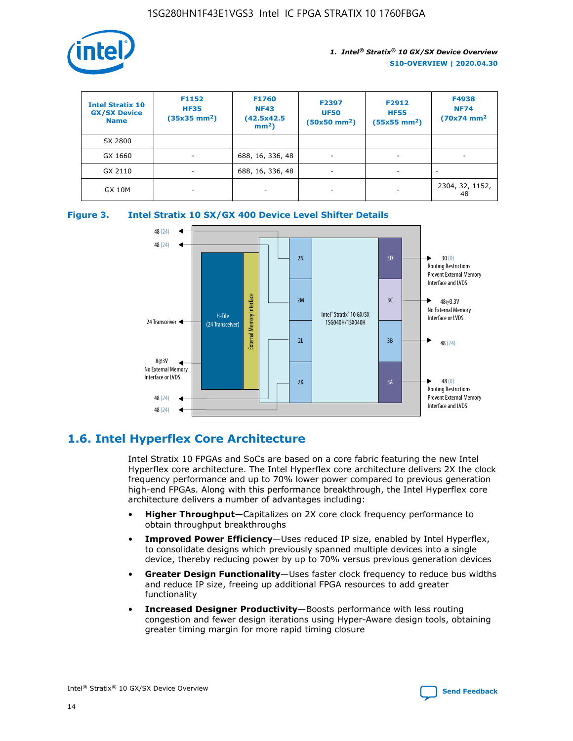

| <b>Intel Stratix 10</b><br><b>GX/SX Device</b><br><b>Name</b> | F1152<br><b>HF35</b><br>$(35x35)$ mm <sup>2</sup> ) | F1760<br><b>NF43</b><br>(42.5x42.5<br>$mm2$ ) | F2397<br><b>UF50</b><br>$(50x50 \text{ mm}^2)$ | F2912<br><b>HF55</b><br>$(55x55$ mm <sup>2</sup> ) | F4938<br><b>NF74</b><br>$(70x74)$ mm <sup>2</sup> |
|---------------------------------------------------------------|-----------------------------------------------------|-----------------------------------------------|------------------------------------------------|----------------------------------------------------|---------------------------------------------------|
| SX 2800                                                       |                                                     |                                               |                                                |                                                    |                                                   |
| GX 1660                                                       | -                                                   | 688, 16, 336, 48                              | $\overline{\phantom{a}}$                       |                                                    |                                                   |
| GX 2110                                                       |                                                     | 688, 16, 336, 48                              | $\overline{\phantom{a}}$                       |                                                    |                                                   |
| <b>GX 10M</b>                                                 | ۰                                                   |                                               |                                                |                                                    | 2304, 32, 1152,<br>48                             |





## **1.6. Intel Hyperflex Core Architecture**

Intel Stratix 10 FPGAs and SoCs are based on a core fabric featuring the new Intel Hyperflex core architecture. The Intel Hyperflex core architecture delivers 2X the clock frequency performance and up to 70% lower power compared to previous generation high-end FPGAs. Along with this performance breakthrough, the Intel Hyperflex core architecture delivers a number of advantages including:

- **Higher Throughput**—Capitalizes on 2X core clock frequency performance to obtain throughput breakthroughs
- **Improved Power Efficiency**—Uses reduced IP size, enabled by Intel Hyperflex, to consolidate designs which previously spanned multiple devices into a single device, thereby reducing power by up to 70% versus previous generation devices
- **Greater Design Functionality**—Uses faster clock frequency to reduce bus widths and reduce IP size, freeing up additional FPGA resources to add greater functionality
- **Increased Designer Productivity**—Boosts performance with less routing congestion and fewer design iterations using Hyper-Aware design tools, obtaining greater timing margin for more rapid timing closure

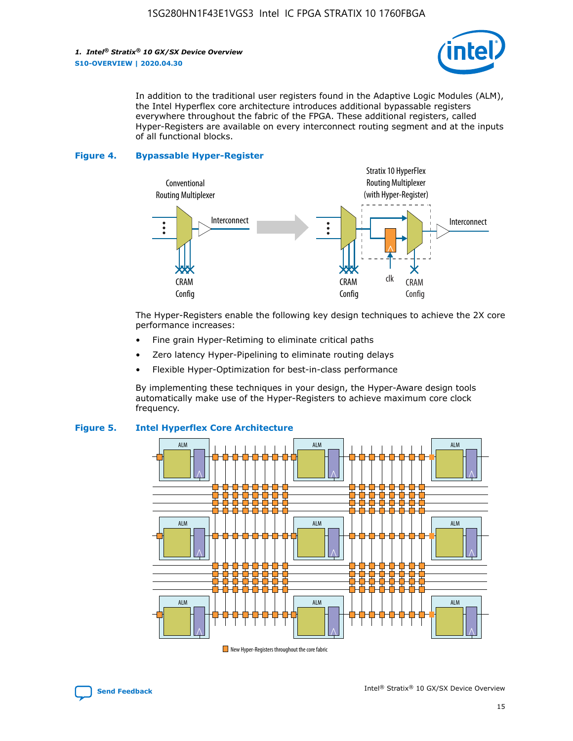*1. Intel® Stratix® 10 GX/SX Device Overview* **S10-OVERVIEW | 2020.04.30**



In addition to the traditional user registers found in the Adaptive Logic Modules (ALM), the Intel Hyperflex core architecture introduces additional bypassable registers everywhere throughout the fabric of the FPGA. These additional registers, called Hyper-Registers are available on every interconnect routing segment and at the inputs of all functional blocks.

#### **Figure 4. Bypassable Hyper-Register**



The Hyper-Registers enable the following key design techniques to achieve the 2X core performance increases:

- Fine grain Hyper-Retiming to eliminate critical paths
- Zero latency Hyper-Pipelining to eliminate routing delays
- Flexible Hyper-Optimization for best-in-class performance

By implementing these techniques in your design, the Hyper-Aware design tools automatically make use of the Hyper-Registers to achieve maximum core clock frequency.



## **Figure 5. Intel Hyperflex Core Architecture**

New Hyper-Registers throughout the core fabric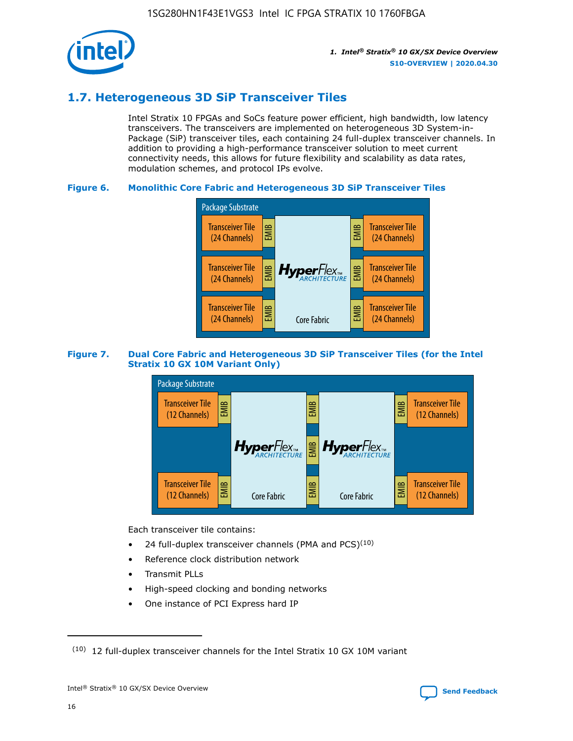

## **1.7. Heterogeneous 3D SiP Transceiver Tiles**

Intel Stratix 10 FPGAs and SoCs feature power efficient, high bandwidth, low latency transceivers. The transceivers are implemented on heterogeneous 3D System-in-Package (SiP) transceiver tiles, each containing 24 full-duplex transceiver channels. In addition to providing a high-performance transceiver solution to meet current connectivity needs, this allows for future flexibility and scalability as data rates, modulation schemes, and protocol IPs evolve.

## **Figure 6. Monolithic Core Fabric and Heterogeneous 3D SiP Transceiver Tiles**



## **Figure 7. Dual Core Fabric and Heterogeneous 3D SiP Transceiver Tiles (for the Intel Stratix 10 GX 10M Variant Only)**



Each transceiver tile contains:

- 24 full-duplex transceiver channels (PMA and PCS) $(10)$
- Reference clock distribution network
- Transmit PLLs
- High-speed clocking and bonding networks
- One instance of PCI Express hard IP

 $(10)$  12 full-duplex transceiver channels for the Intel Stratix 10 GX 10M variant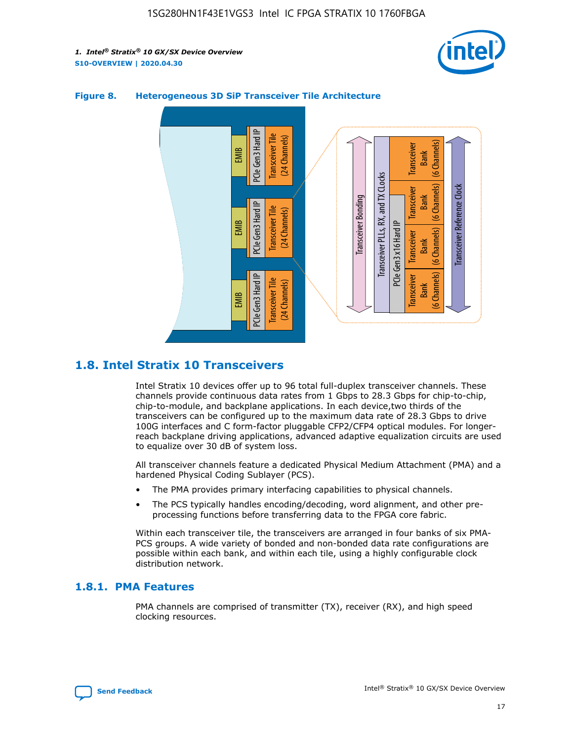



## **Figure 8. Heterogeneous 3D SiP Transceiver Tile Architecture**

## **1.8. Intel Stratix 10 Transceivers**

Intel Stratix 10 devices offer up to 96 total full-duplex transceiver channels. These channels provide continuous data rates from 1 Gbps to 28.3 Gbps for chip-to-chip, chip-to-module, and backplane applications. In each device,two thirds of the transceivers can be configured up to the maximum data rate of 28.3 Gbps to drive 100G interfaces and C form-factor pluggable CFP2/CFP4 optical modules. For longerreach backplane driving applications, advanced adaptive equalization circuits are used to equalize over 30 dB of system loss.

All transceiver channels feature a dedicated Physical Medium Attachment (PMA) and a hardened Physical Coding Sublayer (PCS).

- The PMA provides primary interfacing capabilities to physical channels.
- The PCS typically handles encoding/decoding, word alignment, and other preprocessing functions before transferring data to the FPGA core fabric.

Within each transceiver tile, the transceivers are arranged in four banks of six PMA-PCS groups. A wide variety of bonded and non-bonded data rate configurations are possible within each bank, and within each tile, using a highly configurable clock distribution network.

## **1.8.1. PMA Features**

PMA channels are comprised of transmitter (TX), receiver (RX), and high speed clocking resources.

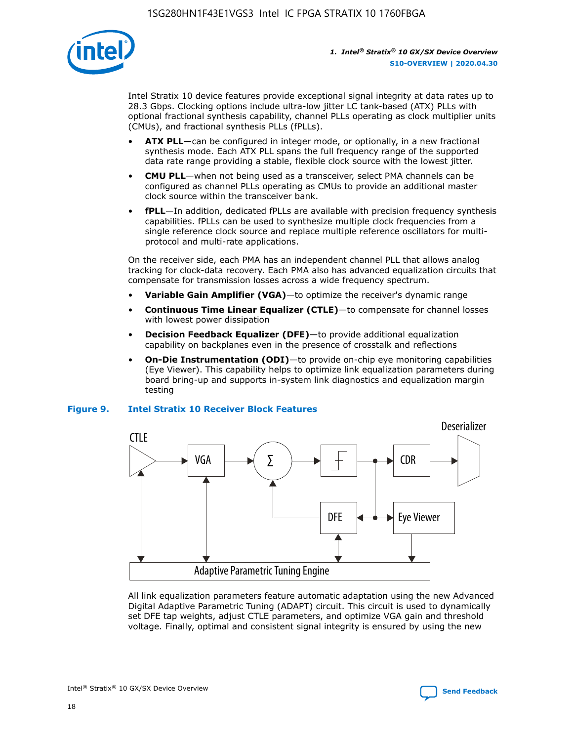

Intel Stratix 10 device features provide exceptional signal integrity at data rates up to 28.3 Gbps. Clocking options include ultra-low jitter LC tank-based (ATX) PLLs with optional fractional synthesis capability, channel PLLs operating as clock multiplier units (CMUs), and fractional synthesis PLLs (fPLLs).

- **ATX PLL**—can be configured in integer mode, or optionally, in a new fractional synthesis mode. Each ATX PLL spans the full frequency range of the supported data rate range providing a stable, flexible clock source with the lowest jitter.
- **CMU PLL**—when not being used as a transceiver, select PMA channels can be configured as channel PLLs operating as CMUs to provide an additional master clock source within the transceiver bank.
- **fPLL**—In addition, dedicated fPLLs are available with precision frequency synthesis capabilities. fPLLs can be used to synthesize multiple clock frequencies from a single reference clock source and replace multiple reference oscillators for multiprotocol and multi-rate applications.

On the receiver side, each PMA has an independent channel PLL that allows analog tracking for clock-data recovery. Each PMA also has advanced equalization circuits that compensate for transmission losses across a wide frequency spectrum.

- **Variable Gain Amplifier (VGA)**—to optimize the receiver's dynamic range
- **Continuous Time Linear Equalizer (CTLE)**—to compensate for channel losses with lowest power dissipation
- **Decision Feedback Equalizer (DFE)**—to provide additional equalization capability on backplanes even in the presence of crosstalk and reflections
- **On-Die Instrumentation (ODI)**—to provide on-chip eye monitoring capabilities (Eye Viewer). This capability helps to optimize link equalization parameters during board bring-up and supports in-system link diagnostics and equalization margin testing

#### **Figure 9. Intel Stratix 10 Receiver Block Features**



All link equalization parameters feature automatic adaptation using the new Advanced Digital Adaptive Parametric Tuning (ADAPT) circuit. This circuit is used to dynamically set DFE tap weights, adjust CTLE parameters, and optimize VGA gain and threshold voltage. Finally, optimal and consistent signal integrity is ensured by using the new



Intel<sup>®</sup> Stratix<sup>®</sup> 10 GX/SX Device Overview **[Send Feedback](mailto:FPGAtechdocfeedback@intel.com?subject=Feedback%20on%20Intel%20Stratix%2010%20GX/SX%20Device%20Overview%20(S10-OVERVIEW%202020.04.30)&body=We%20appreciate%20your%20feedback.%20In%20your%20comments,%20also%20specify%20the%20page%20number%20or%20paragraph.%20Thank%20you.)** Send Feedback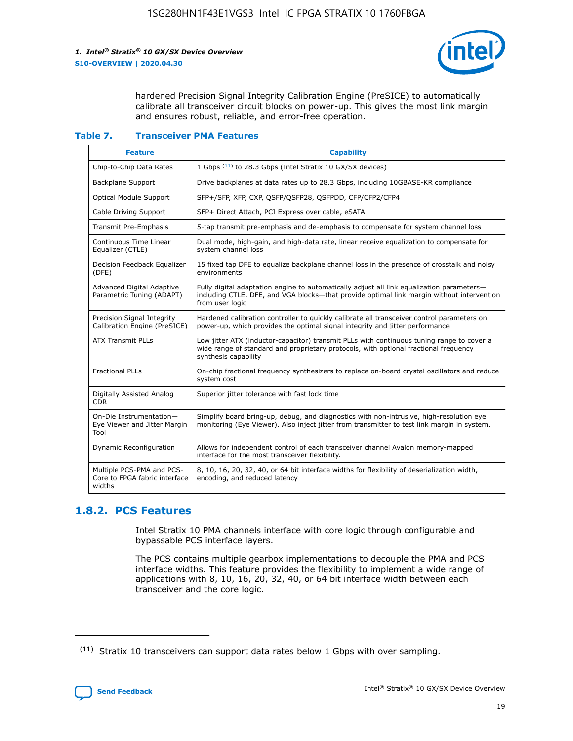

hardened Precision Signal Integrity Calibration Engine (PreSICE) to automatically calibrate all transceiver circuit blocks on power-up. This gives the most link margin and ensures robust, reliable, and error-free operation.

#### **Table 7. Transceiver PMA Features**

| <b>Feature</b>                                                       | <b>Capability</b>                                                                                                                                                                                         |
|----------------------------------------------------------------------|-----------------------------------------------------------------------------------------------------------------------------------------------------------------------------------------------------------|
| Chip-to-Chip Data Rates                                              | 1 Gbps (11) to 28.3 Gbps (Intel Stratix 10 GX/SX devices)                                                                                                                                                 |
| <b>Backplane Support</b>                                             | Drive backplanes at data rates up to 28.3 Gbps, including 10GBASE-KR compliance                                                                                                                           |
| Optical Module Support                                               | SFP+/SFP, XFP, CXP, QSFP/QSFP28, QSFPDD, CFP/CFP2/CFP4                                                                                                                                                    |
| Cable Driving Support                                                | SFP+ Direct Attach, PCI Express over cable, eSATA                                                                                                                                                         |
| <b>Transmit Pre-Emphasis</b>                                         | 5-tap transmit pre-emphasis and de-emphasis to compensate for system channel loss                                                                                                                         |
| Continuous Time Linear<br>Equalizer (CTLE)                           | Dual mode, high-gain, and high-data rate, linear receive equalization to compensate for<br>system channel loss                                                                                            |
| Decision Feedback Equalizer<br>(DFE)                                 | 15 fixed tap DFE to equalize backplane channel loss in the presence of crosstalk and noisy<br>environments                                                                                                |
| Advanced Digital Adaptive<br>Parametric Tuning (ADAPT)               | Fully digital adaptation engine to automatically adjust all link equalization parameters-<br>including CTLE, DFE, and VGA blocks-that provide optimal link margin without intervention<br>from user logic |
| Precision Signal Integrity<br>Calibration Engine (PreSICE)           | Hardened calibration controller to quickly calibrate all transceiver control parameters on<br>power-up, which provides the optimal signal integrity and jitter performance                                |
| <b>ATX Transmit PLLs</b>                                             | Low jitter ATX (inductor-capacitor) transmit PLLs with continuous tuning range to cover a<br>wide range of standard and proprietary protocols, with optional fractional frequency<br>synthesis capability |
| <b>Fractional PLLs</b>                                               | On-chip fractional frequency synthesizers to replace on-board crystal oscillators and reduce<br>system cost                                                                                               |
| Digitally Assisted Analog<br>CDR.                                    | Superior jitter tolerance with fast lock time                                                                                                                                                             |
| On-Die Instrumentation-<br>Eye Viewer and Jitter Margin<br>Tool      | Simplify board bring-up, debug, and diagnostics with non-intrusive, high-resolution eye<br>monitoring (Eye Viewer). Also inject jitter from transmitter to test link margin in system.                    |
| Dynamic Reconfiguration                                              | Allows for independent control of each transceiver channel Avalon memory-mapped<br>interface for the most transceiver flexibility.                                                                        |
| Multiple PCS-PMA and PCS-<br>Core to FPGA fabric interface<br>widths | 8, 10, 16, 20, 32, 40, or 64 bit interface widths for flexibility of deserialization width,<br>encoding, and reduced latency                                                                              |

## **1.8.2. PCS Features**

Intel Stratix 10 PMA channels interface with core logic through configurable and bypassable PCS interface layers.

The PCS contains multiple gearbox implementations to decouple the PMA and PCS interface widths. This feature provides the flexibility to implement a wide range of applications with 8, 10, 16, 20, 32, 40, or 64 bit interface width between each transceiver and the core logic.

 $(11)$  Stratix 10 transceivers can support data rates below 1 Gbps with over sampling.

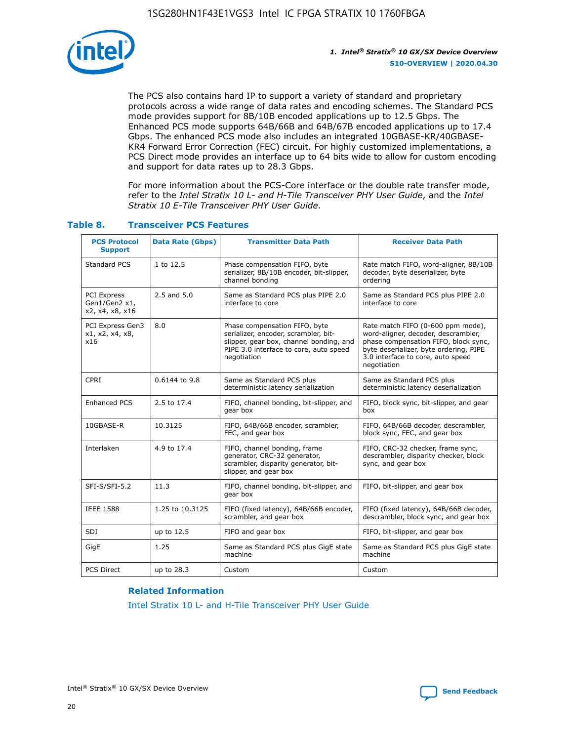

The PCS also contains hard IP to support a variety of standard and proprietary protocols across a wide range of data rates and encoding schemes. The Standard PCS mode provides support for 8B/10B encoded applications up to 12.5 Gbps. The Enhanced PCS mode supports 64B/66B and 64B/67B encoded applications up to 17.4 Gbps. The enhanced PCS mode also includes an integrated 10GBASE-KR/40GBASE-KR4 Forward Error Correction (FEC) circuit. For highly customized implementations, a PCS Direct mode provides an interface up to 64 bits wide to allow for custom encoding and support for data rates up to 28.3 Gbps.

For more information about the PCS-Core interface or the double rate transfer mode, refer to the *Intel Stratix 10 L- and H-Tile Transceiver PHY User Guide*, and the *Intel Stratix 10 E-Tile Transceiver PHY User Guide*.

| <b>PCS Protocol</b><br><b>Support</b>           | <b>Data Rate (Gbps)</b> | <b>Transmitter Data Path</b>                                                                                                                                              | <b>Receiver Data Path</b>                                                                                                                                                                                      |
|-------------------------------------------------|-------------------------|---------------------------------------------------------------------------------------------------------------------------------------------------------------------------|----------------------------------------------------------------------------------------------------------------------------------------------------------------------------------------------------------------|
| Standard PCS                                    | 1 to 12.5               | Phase compensation FIFO, byte<br>serializer, 8B/10B encoder, bit-slipper,<br>channel bonding                                                                              | Rate match FIFO, word-aligner, 8B/10B<br>decoder, byte deserializer, byte<br>ordering                                                                                                                          |
| PCI Express<br>Gen1/Gen2 x1,<br>x2, x4, x8, x16 | $2.5$ and $5.0$         | Same as Standard PCS plus PIPE 2.0<br>interface to core                                                                                                                   | Same as Standard PCS plus PIPE 2.0<br>interface to core                                                                                                                                                        |
| PCI Express Gen3<br>x1, x2, x4, x8,<br>x16      | 8.0                     | Phase compensation FIFO, byte<br>serializer, encoder, scrambler, bit-<br>slipper, gear box, channel bonding, and<br>PIPE 3.0 interface to core, auto speed<br>negotiation | Rate match FIFO (0-600 ppm mode),<br>word-aligner, decoder, descrambler,<br>phase compensation FIFO, block sync,<br>byte deserializer, byte ordering, PIPE<br>3.0 interface to core, auto speed<br>negotiation |
| CPRI                                            | 0.6144 to 9.8           | Same as Standard PCS plus<br>deterministic latency serialization                                                                                                          | Same as Standard PCS plus<br>deterministic latency deserialization                                                                                                                                             |
| <b>Enhanced PCS</b>                             | 2.5 to 17.4             | FIFO, channel bonding, bit-slipper, and<br>gear box                                                                                                                       | FIFO, block sync, bit-slipper, and gear<br>box                                                                                                                                                                 |
| 10GBASE-R                                       | 10.3125                 | FIFO, 64B/66B encoder, scrambler,<br>FEC, and gear box                                                                                                                    | FIFO, 64B/66B decoder, descrambler,<br>block sync, FEC, and gear box                                                                                                                                           |
| Interlaken                                      | 4.9 to 17.4             | FIFO, channel bonding, frame<br>generator, CRC-32 generator,<br>scrambler, disparity generator, bit-<br>slipper, and gear box                                             | FIFO, CRC-32 checker, frame sync,<br>descrambler, disparity checker, block<br>sync, and gear box                                                                                                               |
| SFI-S/SFI-5.2                                   | 11.3                    | FIFO, channel bonding, bit-slipper, and<br>gear box                                                                                                                       | FIFO, bit-slipper, and gear box                                                                                                                                                                                |
| <b>IEEE 1588</b>                                | 1.25 to 10.3125         | FIFO (fixed latency), 64B/66B encoder,<br>scrambler, and gear box                                                                                                         | FIFO (fixed latency), 64B/66B decoder,<br>descrambler, block sync, and gear box                                                                                                                                |
| SDI                                             | up to 12.5              | FIFO and gear box                                                                                                                                                         | FIFO, bit-slipper, and gear box                                                                                                                                                                                |
| GigE                                            | 1.25                    | Same as Standard PCS plus GigE state<br>machine                                                                                                                           | Same as Standard PCS plus GigE state<br>machine                                                                                                                                                                |
| <b>PCS Direct</b>                               | up to 28.3              | Custom                                                                                                                                                                    | Custom                                                                                                                                                                                                         |

## **Table 8. Transceiver PCS Features**

#### **Related Information**

[Intel Stratix 10 L- and H-Tile Transceiver PHY User Guide](https://www.altera.com/documentation/wry1479165198810.html)

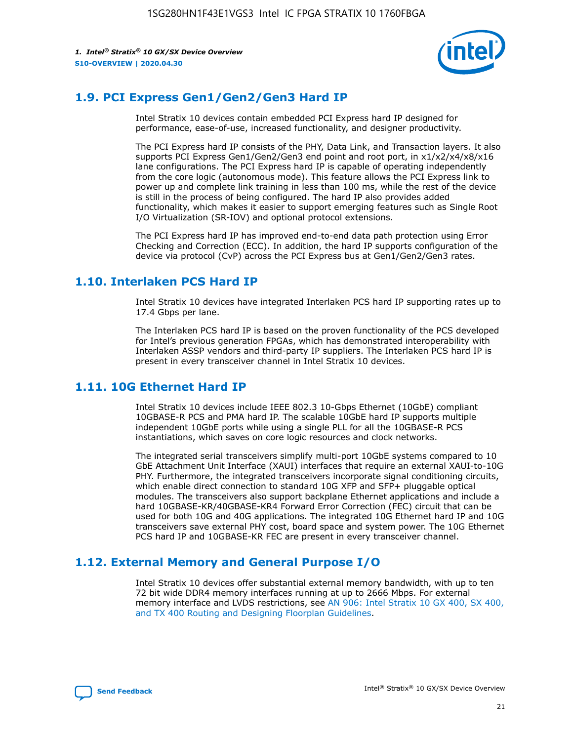

## **1.9. PCI Express Gen1/Gen2/Gen3 Hard IP**

Intel Stratix 10 devices contain embedded PCI Express hard IP designed for performance, ease-of-use, increased functionality, and designer productivity.

The PCI Express hard IP consists of the PHY, Data Link, and Transaction layers. It also supports PCI Express Gen1/Gen2/Gen3 end point and root port, in x1/x2/x4/x8/x16 lane configurations. The PCI Express hard IP is capable of operating independently from the core logic (autonomous mode). This feature allows the PCI Express link to power up and complete link training in less than 100 ms, while the rest of the device is still in the process of being configured. The hard IP also provides added functionality, which makes it easier to support emerging features such as Single Root I/O Virtualization (SR-IOV) and optional protocol extensions.

The PCI Express hard IP has improved end-to-end data path protection using Error Checking and Correction (ECC). In addition, the hard IP supports configuration of the device via protocol (CvP) across the PCI Express bus at Gen1/Gen2/Gen3 rates.

## **1.10. Interlaken PCS Hard IP**

Intel Stratix 10 devices have integrated Interlaken PCS hard IP supporting rates up to 17.4 Gbps per lane.

The Interlaken PCS hard IP is based on the proven functionality of the PCS developed for Intel's previous generation FPGAs, which has demonstrated interoperability with Interlaken ASSP vendors and third-party IP suppliers. The Interlaken PCS hard IP is present in every transceiver channel in Intel Stratix 10 devices.

## **1.11. 10G Ethernet Hard IP**

Intel Stratix 10 devices include IEEE 802.3 10-Gbps Ethernet (10GbE) compliant 10GBASE-R PCS and PMA hard IP. The scalable 10GbE hard IP supports multiple independent 10GbE ports while using a single PLL for all the 10GBASE-R PCS instantiations, which saves on core logic resources and clock networks.

The integrated serial transceivers simplify multi-port 10GbE systems compared to 10 GbE Attachment Unit Interface (XAUI) interfaces that require an external XAUI-to-10G PHY. Furthermore, the integrated transceivers incorporate signal conditioning circuits, which enable direct connection to standard 10G XFP and SFP+ pluggable optical modules. The transceivers also support backplane Ethernet applications and include a hard 10GBASE-KR/40GBASE-KR4 Forward Error Correction (FEC) circuit that can be used for both 10G and 40G applications. The integrated 10G Ethernet hard IP and 10G transceivers save external PHY cost, board space and system power. The 10G Ethernet PCS hard IP and 10GBASE-KR FEC are present in every transceiver channel.

## **1.12. External Memory and General Purpose I/O**

Intel Stratix 10 devices offer substantial external memory bandwidth, with up to ten 72 bit wide DDR4 memory interfaces running at up to 2666 Mbps. For external memory interface and LVDS restrictions, see [AN 906: Intel Stratix 10 GX 400, SX 400,](https://www.intel.com/content/www/us/en/programmable/documentation/sjf1574667190623.html#bft1574667627484) [and TX 400 Routing and Designing Floorplan Guidelines.](https://www.intel.com/content/www/us/en/programmable/documentation/sjf1574667190623.html#bft1574667627484)

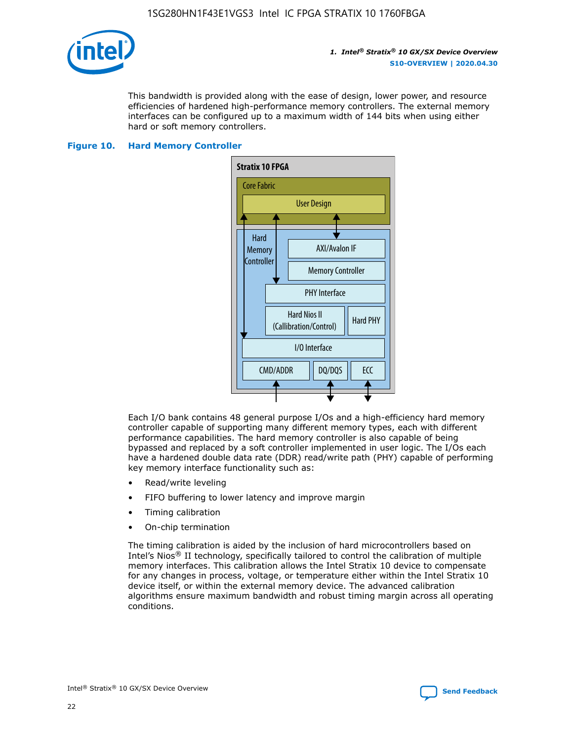

This bandwidth is provided along with the ease of design, lower power, and resource efficiencies of hardened high-performance memory controllers. The external memory interfaces can be configured up to a maximum width of 144 bits when using either hard or soft memory controllers.

### **Figure 10. Hard Memory Controller**



Each I/O bank contains 48 general purpose I/Os and a high-efficiency hard memory controller capable of supporting many different memory types, each with different performance capabilities. The hard memory controller is also capable of being bypassed and replaced by a soft controller implemented in user logic. The I/Os each have a hardened double data rate (DDR) read/write path (PHY) capable of performing key memory interface functionality such as:

- Read/write leveling
- FIFO buffering to lower latency and improve margin
- Timing calibration
- On-chip termination

The timing calibration is aided by the inclusion of hard microcontrollers based on Intel's Nios® II technology, specifically tailored to control the calibration of multiple memory interfaces. This calibration allows the Intel Stratix 10 device to compensate for any changes in process, voltage, or temperature either within the Intel Stratix 10 device itself, or within the external memory device. The advanced calibration algorithms ensure maximum bandwidth and robust timing margin across all operating conditions.

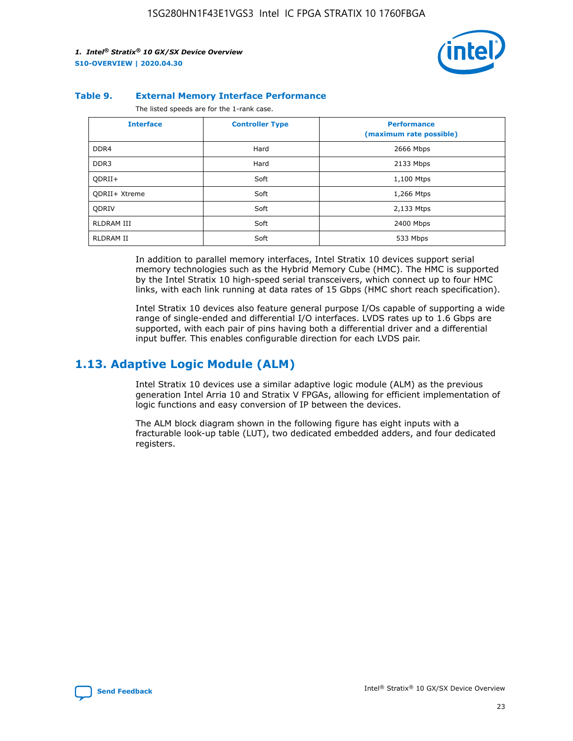

#### **Table 9. External Memory Interface Performance**

The listed speeds are for the 1-rank case.

| <b>Interface</b> | <b>Controller Type</b> | <b>Performance</b><br>(maximum rate possible) |
|------------------|------------------------|-----------------------------------------------|
| DDR4             | Hard                   | 2666 Mbps                                     |
| DDR <sub>3</sub> | Hard                   | 2133 Mbps                                     |
| QDRII+           | Soft                   | 1,100 Mtps                                    |
| QDRII+ Xtreme    | Soft                   | 1,266 Mtps                                    |
| <b>ODRIV</b>     | Soft                   | 2,133 Mtps                                    |
| RLDRAM III       | Soft                   | 2400 Mbps                                     |
| <b>RLDRAM II</b> | Soft                   | 533 Mbps                                      |

In addition to parallel memory interfaces, Intel Stratix 10 devices support serial memory technologies such as the Hybrid Memory Cube (HMC). The HMC is supported by the Intel Stratix 10 high-speed serial transceivers, which connect up to four HMC links, with each link running at data rates of 15 Gbps (HMC short reach specification).

Intel Stratix 10 devices also feature general purpose I/Os capable of supporting a wide range of single-ended and differential I/O interfaces. LVDS rates up to 1.6 Gbps are supported, with each pair of pins having both a differential driver and a differential input buffer. This enables configurable direction for each LVDS pair.

## **1.13. Adaptive Logic Module (ALM)**

Intel Stratix 10 devices use a similar adaptive logic module (ALM) as the previous generation Intel Arria 10 and Stratix V FPGAs, allowing for efficient implementation of logic functions and easy conversion of IP between the devices.

The ALM block diagram shown in the following figure has eight inputs with a fracturable look-up table (LUT), two dedicated embedded adders, and four dedicated registers.

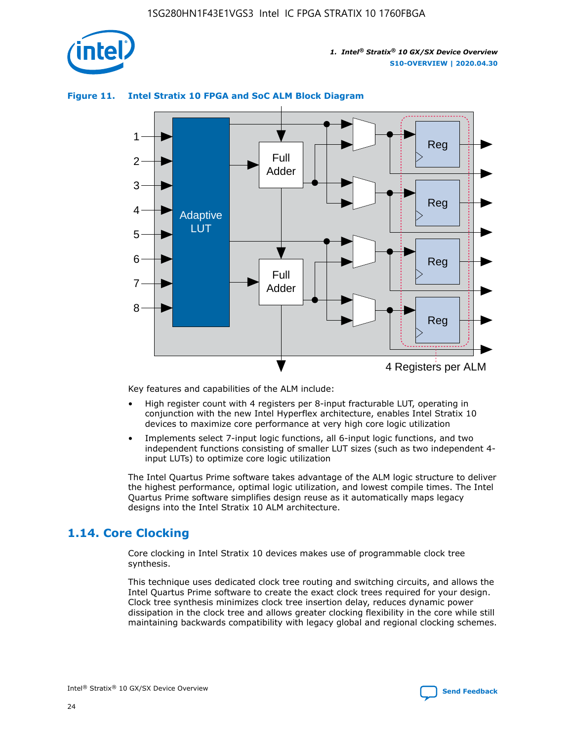

## **Figure 11. Intel Stratix 10 FPGA and SoC ALM Block Diagram**



Key features and capabilities of the ALM include:

- High register count with 4 registers per 8-input fracturable LUT, operating in conjunction with the new Intel Hyperflex architecture, enables Intel Stratix 10 devices to maximize core performance at very high core logic utilization
- Implements select 7-input logic functions, all 6-input logic functions, and two independent functions consisting of smaller LUT sizes (such as two independent 4 input LUTs) to optimize core logic utilization

The Intel Quartus Prime software takes advantage of the ALM logic structure to deliver the highest performance, optimal logic utilization, and lowest compile times. The Intel Quartus Prime software simplifies design reuse as it automatically maps legacy designs into the Intel Stratix 10 ALM architecture.

## **1.14. Core Clocking**

Core clocking in Intel Stratix 10 devices makes use of programmable clock tree synthesis.

This technique uses dedicated clock tree routing and switching circuits, and allows the Intel Quartus Prime software to create the exact clock trees required for your design. Clock tree synthesis minimizes clock tree insertion delay, reduces dynamic power dissipation in the clock tree and allows greater clocking flexibility in the core while still maintaining backwards compatibility with legacy global and regional clocking schemes.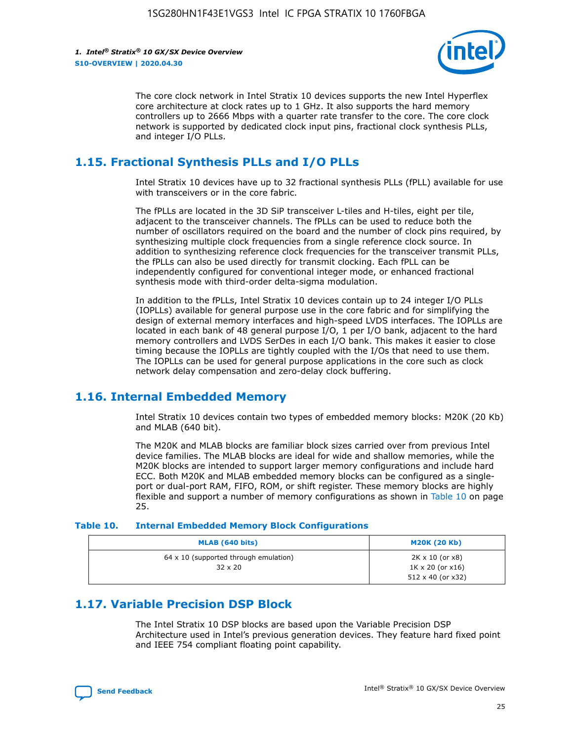

The core clock network in Intel Stratix 10 devices supports the new Intel Hyperflex core architecture at clock rates up to 1 GHz. It also supports the hard memory controllers up to 2666 Mbps with a quarter rate transfer to the core. The core clock network is supported by dedicated clock input pins, fractional clock synthesis PLLs, and integer I/O PLLs.

## **1.15. Fractional Synthesis PLLs and I/O PLLs**

Intel Stratix 10 devices have up to 32 fractional synthesis PLLs (fPLL) available for use with transceivers or in the core fabric.

The fPLLs are located in the 3D SiP transceiver L-tiles and H-tiles, eight per tile, adjacent to the transceiver channels. The fPLLs can be used to reduce both the number of oscillators required on the board and the number of clock pins required, by synthesizing multiple clock frequencies from a single reference clock source. In addition to synthesizing reference clock frequencies for the transceiver transmit PLLs, the fPLLs can also be used directly for transmit clocking. Each fPLL can be independently configured for conventional integer mode, or enhanced fractional synthesis mode with third-order delta-sigma modulation.

In addition to the fPLLs, Intel Stratix 10 devices contain up to 24 integer I/O PLLs (IOPLLs) available for general purpose use in the core fabric and for simplifying the design of external memory interfaces and high-speed LVDS interfaces. The IOPLLs are located in each bank of 48 general purpose I/O, 1 per I/O bank, adjacent to the hard memory controllers and LVDS SerDes in each I/O bank. This makes it easier to close timing because the IOPLLs are tightly coupled with the I/Os that need to use them. The IOPLLs can be used for general purpose applications in the core such as clock network delay compensation and zero-delay clock buffering.

## **1.16. Internal Embedded Memory**

Intel Stratix 10 devices contain two types of embedded memory blocks: M20K (20 Kb) and MLAB (640 bit).

The M20K and MLAB blocks are familiar block sizes carried over from previous Intel device families. The MLAB blocks are ideal for wide and shallow memories, while the M20K blocks are intended to support larger memory configurations and include hard ECC. Both M20K and MLAB embedded memory blocks can be configured as a singleport or dual-port RAM, FIFO, ROM, or shift register. These memory blocks are highly flexible and support a number of memory configurations as shown in Table 10 on page 25.

#### **Table 10. Internal Embedded Memory Block Configurations**

| MLAB (640 bits)                                                | <b>M20K (20 Kb)</b>                                                                    |
|----------------------------------------------------------------|----------------------------------------------------------------------------------------|
| $64 \times 10$ (supported through emulation)<br>$32 \times 20$ | $2K \times 10$ (or $x8$ )<br>$1K \times 20$ (or $x16$ )<br>$512 \times 40$ (or $x32$ ) |

## **1.17. Variable Precision DSP Block**

The Intel Stratix 10 DSP blocks are based upon the Variable Precision DSP Architecture used in Intel's previous generation devices. They feature hard fixed point and IEEE 754 compliant floating point capability.

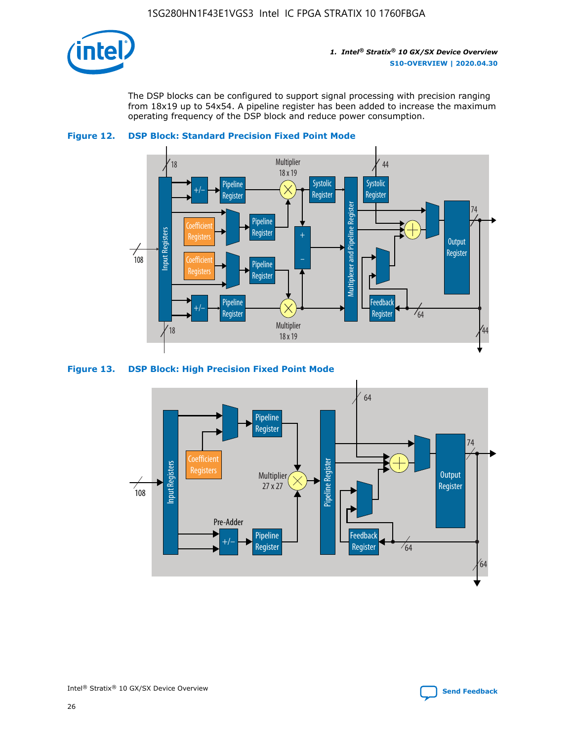

The DSP blocks can be configured to support signal processing with precision ranging from 18x19 up to 54x54. A pipeline register has been added to increase the maximum operating frequency of the DSP block and reduce power consumption.





### **Figure 13. DSP Block: High Precision Fixed Point Mode**



Intel<sup>®</sup> Stratix<sup>®</sup> 10 GX/SX Device Overview **[Send Feedback](mailto:FPGAtechdocfeedback@intel.com?subject=Feedback%20on%20Intel%20Stratix%2010%20GX/SX%20Device%20Overview%20(S10-OVERVIEW%202020.04.30)&body=We%20appreciate%20your%20feedback.%20In%20your%20comments,%20also%20specify%20the%20page%20number%20or%20paragraph.%20Thank%20you.)** Send Feedback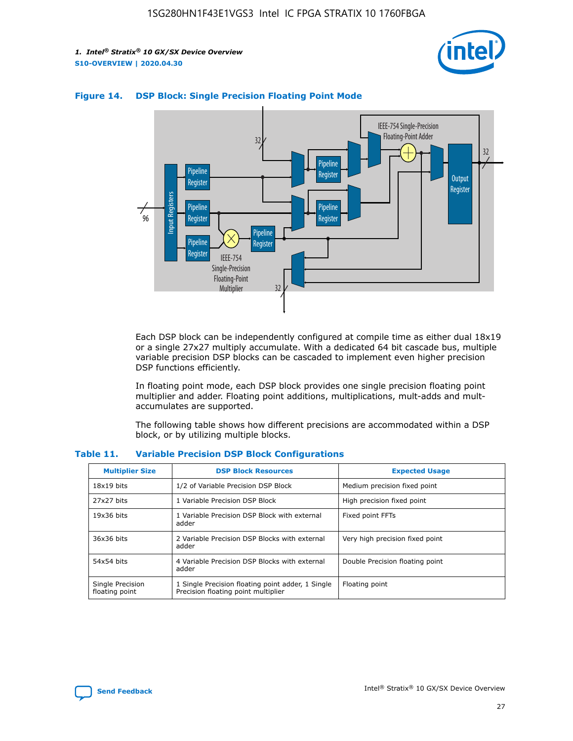



## **Figure 14. DSP Block: Single Precision Floating Point Mode**

Each DSP block can be independently configured at compile time as either dual 18x19 or a single 27x27 multiply accumulate. With a dedicated 64 bit cascade bus, multiple variable precision DSP blocks can be cascaded to implement even higher precision DSP functions efficiently.

In floating point mode, each DSP block provides one single precision floating point multiplier and adder. Floating point additions, multiplications, mult-adds and multaccumulates are supported.

The following table shows how different precisions are accommodated within a DSP block, or by utilizing multiple blocks.

| <b>Multiplier Size</b>             | <b>DSP Block Resources</b>                                                               | <b>Expected Usage</b>           |
|------------------------------------|------------------------------------------------------------------------------------------|---------------------------------|
| $18x19$ bits                       | 1/2 of Variable Precision DSP Block                                                      | Medium precision fixed point    |
| 27x27 bits                         | 1 Variable Precision DSP Block                                                           | High precision fixed point      |
| $19x36$ bits                       | 1 Variable Precision DSP Block with external<br>adder                                    | Fixed point FFTs                |
| 36x36 bits                         | 2 Variable Precision DSP Blocks with external<br>adder                                   | Very high precision fixed point |
| 54x54 bits                         | 4 Variable Precision DSP Blocks with external<br>adder                                   | Double Precision floating point |
| Single Precision<br>floating point | 1 Single Precision floating point adder, 1 Single<br>Precision floating point multiplier | Floating point                  |

#### **Table 11. Variable Precision DSP Block Configurations**

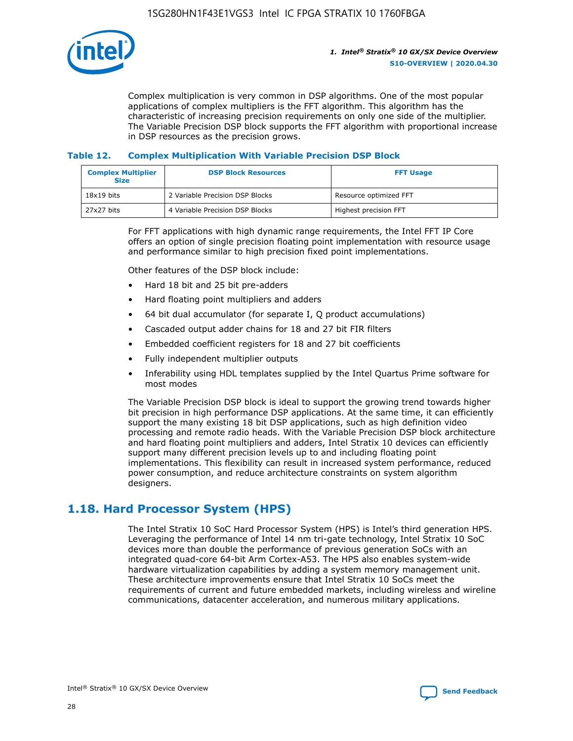

Complex multiplication is very common in DSP algorithms. One of the most popular applications of complex multipliers is the FFT algorithm. This algorithm has the characteristic of increasing precision requirements on only one side of the multiplier. The Variable Precision DSP block supports the FFT algorithm with proportional increase in DSP resources as the precision grows.

## **Table 12. Complex Multiplication With Variable Precision DSP Block**

| <b>Complex Multiplier</b><br><b>Size</b> | <b>DSP Block Resources</b>      | <b>FFT Usage</b>       |
|------------------------------------------|---------------------------------|------------------------|
| $18x19$ bits                             | 2 Variable Precision DSP Blocks | Resource optimized FFT |
| 27x27 bits                               | 4 Variable Precision DSP Blocks | Highest precision FFT  |

For FFT applications with high dynamic range requirements, the Intel FFT IP Core offers an option of single precision floating point implementation with resource usage and performance similar to high precision fixed point implementations.

Other features of the DSP block include:

- Hard 18 bit and 25 bit pre-adders
- Hard floating point multipliers and adders
- 64 bit dual accumulator (for separate I, Q product accumulations)
- Cascaded output adder chains for 18 and 27 bit FIR filters
- Embedded coefficient registers for 18 and 27 bit coefficients
- Fully independent multiplier outputs
- Inferability using HDL templates supplied by the Intel Quartus Prime software for most modes

The Variable Precision DSP block is ideal to support the growing trend towards higher bit precision in high performance DSP applications. At the same time, it can efficiently support the many existing 18 bit DSP applications, such as high definition video processing and remote radio heads. With the Variable Precision DSP block architecture and hard floating point multipliers and adders, Intel Stratix 10 devices can efficiently support many different precision levels up to and including floating point implementations. This flexibility can result in increased system performance, reduced power consumption, and reduce architecture constraints on system algorithm designers.

## **1.18. Hard Processor System (HPS)**

The Intel Stratix 10 SoC Hard Processor System (HPS) is Intel's third generation HPS. Leveraging the performance of Intel 14 nm tri-gate technology, Intel Stratix 10 SoC devices more than double the performance of previous generation SoCs with an integrated quad-core 64-bit Arm Cortex-A53. The HPS also enables system-wide hardware virtualization capabilities by adding a system memory management unit. These architecture improvements ensure that Intel Stratix 10 SoCs meet the requirements of current and future embedded markets, including wireless and wireline communications, datacenter acceleration, and numerous military applications.

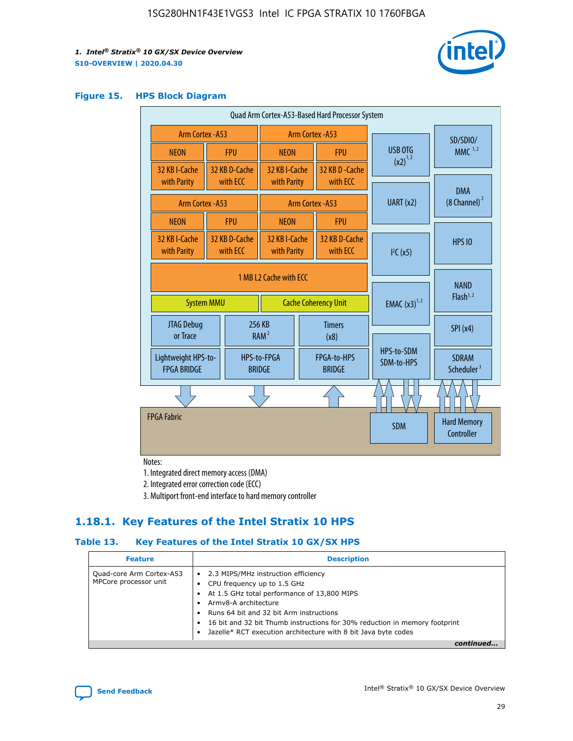

#### **Figure 15. HPS Block Diagram**

| Quad Arm Cortex-A53-Based Hard Processor System |                                             |                           |                                           |  |                              |                                     |                                        |
|-------------------------------------------------|---------------------------------------------|---------------------------|-------------------------------------------|--|------------------------------|-------------------------------------|----------------------------------------|
|                                                 | <b>Arm Cortex - A53</b><br>Arm Cortex - A53 |                           |                                           |  |                              | SD/SDIO/                            |                                        |
| <b>NEON</b>                                     |                                             | <b>FPU</b>                | <b>NEON</b>                               |  | <b>FPU</b>                   | USB OTG<br>$(x2)^{1,2}$             | $MMC$ <sup>1,2</sup>                   |
| 32 KB I-Cache<br>with Parity                    |                                             | 32 KB D-Cache<br>with ECC | 32 KB I-Cache<br>with Parity              |  | 32 KB D - Cache<br>with ECC  |                                     |                                        |
|                                                 |                                             |                           |                                           |  |                              |                                     | <b>DMA</b>                             |
| <b>Arm Cortex - A53</b>                         |                                             |                           |                                           |  | <b>Arm Cortex - A53</b>      | UART (x2)                           | $(8$ Channel) $^2$                     |
| <b>NEON</b>                                     |                                             | <b>FPU</b>                | <b>NEON</b>                               |  | <b>FPU</b>                   |                                     |                                        |
| 32 KB I-Cache<br>with Parity                    |                                             | 32 KB D-Cache<br>with ECC | 32 KB I-Cache<br>with Parity              |  | 32 KB D-Cache<br>with ECC    | I <sup>2</sup> C(x5)                | <b>HPS 10</b>                          |
|                                                 | 1 MB L2 Cache with ECC<br><b>System MMU</b> |                           | <b>Cache Coherency Unit</b>               |  | <b>EMAC</b> $(x3)^{1,2}$     | <b>NAND</b><br>Flash <sup>1,2</sup> |                                        |
| JTAG Debug<br>or Trace                          |                                             | 256 KB                    | <b>Timers</b><br>RAM <sup>2</sup><br>(x8) |  |                              | SPI(x4)                             |                                        |
| Lightweight HPS-to-<br><b>FPGA BRIDGE</b>       |                                             |                           | HPS-to-FPGA<br><b>BRIDGE</b>              |  | FPGA-to-HPS<br><b>BRIDGE</b> | HPS-to-SDM<br>SDM-to-HPS            | <b>SDRAM</b><br>Scheduler <sup>3</sup> |
|                                                 |                                             |                           |                                           |  |                              |                                     |                                        |
| <b>FPGA Fabric</b>                              |                                             |                           |                                           |  |                              | <b>SDM</b>                          | <b>Hard Memory</b><br>Controller       |

Notes:

1. Integrated direct memory access (DMA)

2. Integrated error correction code (ECC)

3. Multiport front-end interface to hard memory controller

## **1.18.1. Key Features of the Intel Stratix 10 HPS**

## **Table 13. Key Features of the Intel Stratix 10 GX/SX HPS**

| <b>Feature</b>                                    | <b>Description</b>                                                                                                                                                                                                                                                                                                                                     |
|---------------------------------------------------|--------------------------------------------------------------------------------------------------------------------------------------------------------------------------------------------------------------------------------------------------------------------------------------------------------------------------------------------------------|
| Quad-core Arm Cortex-A53<br>MPCore processor unit | 2.3 MIPS/MHz instruction efficiency<br>$\bullet$<br>CPU frequency up to 1.5 GHz<br>٠<br>At 1.5 GHz total performance of 13,800 MIPS<br>Army8-A architecture<br>Runs 64 bit and 32 bit Arm instructions<br>16 bit and 32 bit Thumb instructions for 30% reduction in memory footprint<br>Jazelle* RCT execution architecture with 8 bit Java byte codes |
|                                                   |                                                                                                                                                                                                                                                                                                                                                        |

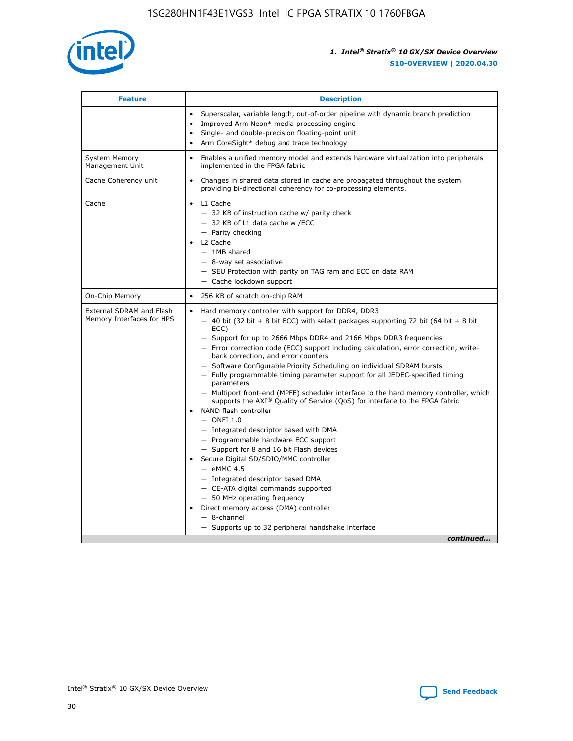

| <b>Feature</b>                                        | <b>Description</b>                                                                                                                                                                                                                                                                                                                                                                                                                                                                                                                                                                                                                                                                                                                                                                                                                                                                                                                                                                                                                                                                                                                                                                                               |  |
|-------------------------------------------------------|------------------------------------------------------------------------------------------------------------------------------------------------------------------------------------------------------------------------------------------------------------------------------------------------------------------------------------------------------------------------------------------------------------------------------------------------------------------------------------------------------------------------------------------------------------------------------------------------------------------------------------------------------------------------------------------------------------------------------------------------------------------------------------------------------------------------------------------------------------------------------------------------------------------------------------------------------------------------------------------------------------------------------------------------------------------------------------------------------------------------------------------------------------------------------------------------------------------|--|
|                                                       | Superscalar, variable length, out-of-order pipeline with dynamic branch prediction<br>Improved Arm Neon* media processing engine<br>Single- and double-precision floating-point unit<br>Arm CoreSight* debug and trace technology<br>٠                                                                                                                                                                                                                                                                                                                                                                                                                                                                                                                                                                                                                                                                                                                                                                                                                                                                                                                                                                           |  |
| <b>System Memory</b><br>Management Unit               | Enables a unified memory model and extends hardware virtualization into peripherals<br>implemented in the FPGA fabric                                                                                                                                                                                                                                                                                                                                                                                                                                                                                                                                                                                                                                                                                                                                                                                                                                                                                                                                                                                                                                                                                            |  |
| Cache Coherency unit                                  | Changes in shared data stored in cache are propagated throughout the system<br>$\bullet$<br>providing bi-directional coherency for co-processing elements.                                                                                                                                                                                                                                                                                                                                                                                                                                                                                                                                                                                                                                                                                                                                                                                                                                                                                                                                                                                                                                                       |  |
| Cache                                                 | L1 Cache<br>$\bullet$<br>- 32 KB of instruction cache w/ parity check<br>- 32 KB of L1 data cache w /ECC<br>- Parity checking<br>L <sub>2</sub> Cache<br>$-$ 1MB shared<br>$-$ 8-way set associative<br>- SEU Protection with parity on TAG ram and ECC on data RAM<br>- Cache lockdown support                                                                                                                                                                                                                                                                                                                                                                                                                                                                                                                                                                                                                                                                                                                                                                                                                                                                                                                  |  |
| On-Chip Memory                                        | 256 KB of scratch on-chip RAM                                                                                                                                                                                                                                                                                                                                                                                                                                                                                                                                                                                                                                                                                                                                                                                                                                                                                                                                                                                                                                                                                                                                                                                    |  |
| External SDRAM and Flash<br>Memory Interfaces for HPS | Hard memory controller with support for DDR4, DDR3<br>$\bullet$<br>$-$ 40 bit (32 bit + 8 bit ECC) with select packages supporting 72 bit (64 bit + 8 bit<br>ECC)<br>- Support for up to 2666 Mbps DDR4 and 2166 Mbps DDR3 frequencies<br>- Error correction code (ECC) support including calculation, error correction, write-<br>back correction, and error counters<br>- Software Configurable Priority Scheduling on individual SDRAM bursts<br>- Fully programmable timing parameter support for all JEDEC-specified timing<br>parameters<br>- Multiport front-end (MPFE) scheduler interface to the hard memory controller, which<br>supports the $AXI^{\circledR}$ Quality of Service (QoS) for interface to the FPGA fabric<br>NAND flash controller<br>$-$ ONFI 1.0<br>- Integrated descriptor based with DMA<br>- Programmable hardware ECC support<br>- Support for 8 and 16 bit Flash devices<br>Secure Digital SD/SDIO/MMC controller<br>$-$ eMMC 4.5<br>- Integrated descriptor based DMA<br>- CE-ATA digital commands supported<br>- 50 MHz operating frequency<br>Direct memory access (DMA) controller<br>٠<br>$-$ 8-channel<br>- Supports up to 32 peripheral handshake interface<br>continued |  |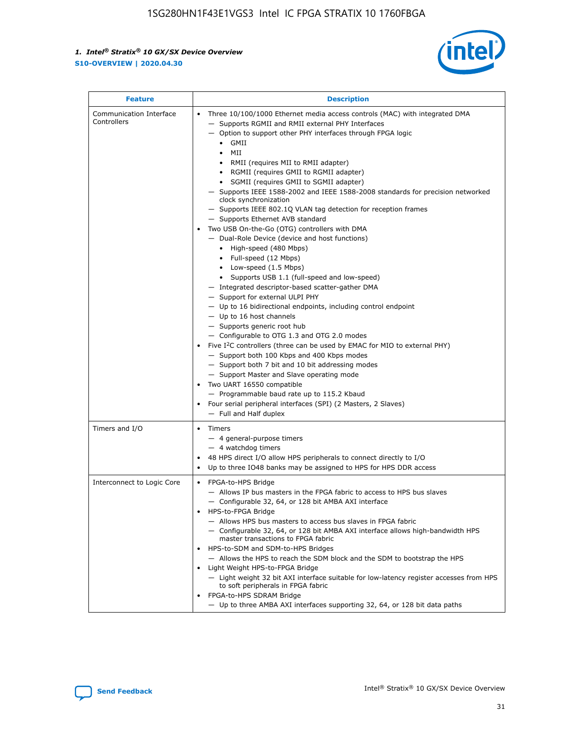

| <b>Feature</b>                         | <b>Description</b>                                                                                                                                                                                                                                                                                                                                                                                                                                                                                                                                                                                                                                                                                                                                                                                                                                                                                                                                                                                                                                                                                                                                                                                                                                                                                                                                                                                                                                                                                                     |
|----------------------------------------|------------------------------------------------------------------------------------------------------------------------------------------------------------------------------------------------------------------------------------------------------------------------------------------------------------------------------------------------------------------------------------------------------------------------------------------------------------------------------------------------------------------------------------------------------------------------------------------------------------------------------------------------------------------------------------------------------------------------------------------------------------------------------------------------------------------------------------------------------------------------------------------------------------------------------------------------------------------------------------------------------------------------------------------------------------------------------------------------------------------------------------------------------------------------------------------------------------------------------------------------------------------------------------------------------------------------------------------------------------------------------------------------------------------------------------------------------------------------------------------------------------------------|
| Communication Interface<br>Controllers | Three 10/100/1000 Ethernet media access controls (MAC) with integrated DMA<br>$\bullet$<br>- Supports RGMII and RMII external PHY Interfaces<br>- Option to support other PHY interfaces through FPGA logic<br>$\bullet$ GMII<br>MII<br>$\bullet$<br>RMII (requires MII to RMII adapter)<br>$\bullet$<br>• RGMII (requires GMII to RGMII adapter)<br>SGMII (requires GMII to SGMII adapter)<br>- Supports IEEE 1588-2002 and IEEE 1588-2008 standards for precision networked<br>clock synchronization<br>- Supports IEEE 802.1Q VLAN tag detection for reception frames<br>- Supports Ethernet AVB standard<br>Two USB On-the-Go (OTG) controllers with DMA<br>- Dual-Role Device (device and host functions)<br>• High-speed (480 Mbps)<br>• Full-speed (12 Mbps)<br>• Low-speed (1.5 Mbps)<br>• Supports USB 1.1 (full-speed and low-speed)<br>- Integrated descriptor-based scatter-gather DMA<br>- Support for external ULPI PHY<br>- Up to 16 bidirectional endpoints, including control endpoint<br>$-$ Up to 16 host channels<br>- Supports generic root hub<br>- Configurable to OTG 1.3 and OTG 2.0 modes<br>Five $I2C$ controllers (three can be used by EMAC for MIO to external PHY)<br>- Support both 100 Kbps and 400 Kbps modes<br>- Support both 7 bit and 10 bit addressing modes<br>- Support Master and Slave operating mode<br>Two UART 16550 compatible<br>- Programmable baud rate up to 115.2 Kbaud<br>Four serial peripheral interfaces (SPI) (2 Masters, 2 Slaves)<br>- Full and Half duplex |
| Timers and I/O                         | Timers<br>$\bullet$<br>- 4 general-purpose timers<br>$-4$ watchdog timers<br>48 HPS direct I/O allow HPS peripherals to connect directly to I/O<br>Up to three IO48 banks may be assigned to HPS for HPS DDR access                                                                                                                                                                                                                                                                                                                                                                                                                                                                                                                                                                                                                                                                                                                                                                                                                                                                                                                                                                                                                                                                                                                                                                                                                                                                                                    |
| Interconnect to Logic Core             | • FPGA-to-HPS Bridge<br>- Allows IP bus masters in the FPGA fabric to access to HPS bus slaves<br>- Configurable 32, 64, or 128 bit AMBA AXI interface<br>HPS-to-FPGA Bridge<br>- Allows HPS bus masters to access bus slaves in FPGA fabric<br>- Configurable 32, 64, or 128 bit AMBA AXI interface allows high-bandwidth HPS<br>master transactions to FPGA fabric<br>HPS-to-SDM and SDM-to-HPS Bridges<br>- Allows the HPS to reach the SDM block and the SDM to bootstrap the HPS<br>Light Weight HPS-to-FPGA Bridge<br>- Light weight 32 bit AXI interface suitable for low-latency register accesses from HPS<br>to soft peripherals in FPGA fabric<br>FPGA-to-HPS SDRAM Bridge<br>- Up to three AMBA AXI interfaces supporting 32, 64, or 128 bit data paths                                                                                                                                                                                                                                                                                                                                                                                                                                                                                                                                                                                                                                                                                                                                                    |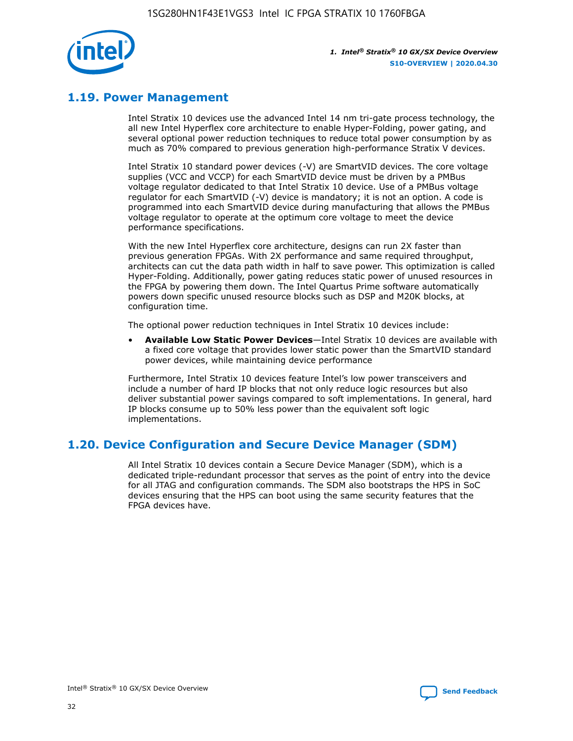

## **1.19. Power Management**

Intel Stratix 10 devices use the advanced Intel 14 nm tri-gate process technology, the all new Intel Hyperflex core architecture to enable Hyper-Folding, power gating, and several optional power reduction techniques to reduce total power consumption by as much as 70% compared to previous generation high-performance Stratix V devices.

Intel Stratix 10 standard power devices (-V) are SmartVID devices. The core voltage supplies (VCC and VCCP) for each SmartVID device must be driven by a PMBus voltage regulator dedicated to that Intel Stratix 10 device. Use of a PMBus voltage regulator for each SmartVID (-V) device is mandatory; it is not an option. A code is programmed into each SmartVID device during manufacturing that allows the PMBus voltage regulator to operate at the optimum core voltage to meet the device performance specifications.

With the new Intel Hyperflex core architecture, designs can run 2X faster than previous generation FPGAs. With 2X performance and same required throughput, architects can cut the data path width in half to save power. This optimization is called Hyper-Folding. Additionally, power gating reduces static power of unused resources in the FPGA by powering them down. The Intel Quartus Prime software automatically powers down specific unused resource blocks such as DSP and M20K blocks, at configuration time.

The optional power reduction techniques in Intel Stratix 10 devices include:

• **Available Low Static Power Devices**—Intel Stratix 10 devices are available with a fixed core voltage that provides lower static power than the SmartVID standard power devices, while maintaining device performance

Furthermore, Intel Stratix 10 devices feature Intel's low power transceivers and include a number of hard IP blocks that not only reduce logic resources but also deliver substantial power savings compared to soft implementations. In general, hard IP blocks consume up to 50% less power than the equivalent soft logic implementations.

## **1.20. Device Configuration and Secure Device Manager (SDM)**

All Intel Stratix 10 devices contain a Secure Device Manager (SDM), which is a dedicated triple-redundant processor that serves as the point of entry into the device for all JTAG and configuration commands. The SDM also bootstraps the HPS in SoC devices ensuring that the HPS can boot using the same security features that the FPGA devices have.

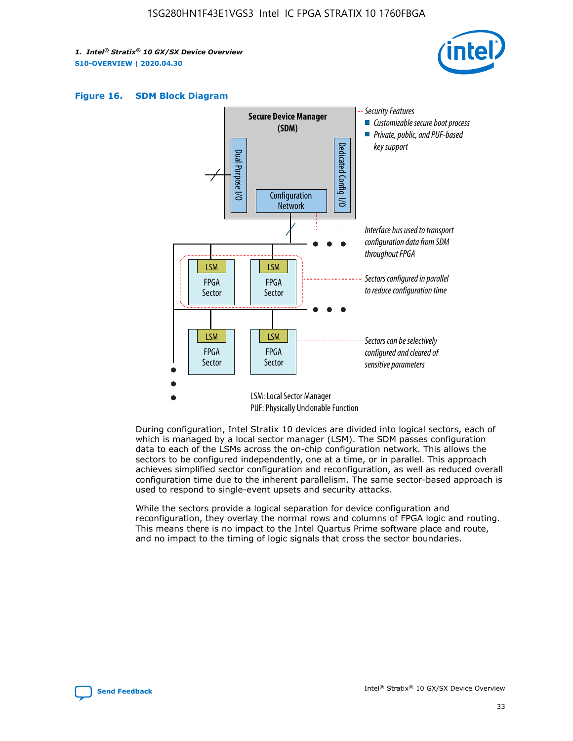





During configuration, Intel Stratix 10 devices are divided into logical sectors, each of which is managed by a local sector manager (LSM). The SDM passes configuration data to each of the LSMs across the on-chip configuration network. This allows the sectors to be configured independently, one at a time, or in parallel. This approach achieves simplified sector configuration and reconfiguration, as well as reduced overall configuration time due to the inherent parallelism. The same sector-based approach is used to respond to single-event upsets and security attacks.

While the sectors provide a logical separation for device configuration and reconfiguration, they overlay the normal rows and columns of FPGA logic and routing. This means there is no impact to the Intel Quartus Prime software place and route, and no impact to the timing of logic signals that cross the sector boundaries.

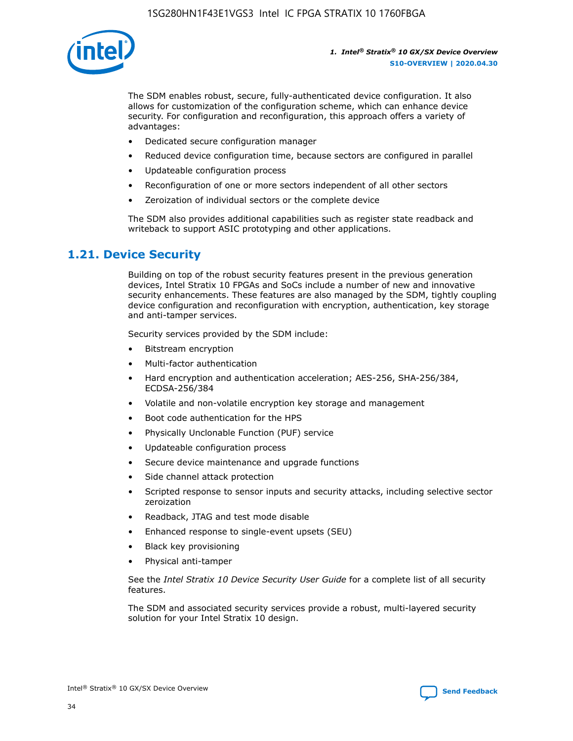

The SDM enables robust, secure, fully-authenticated device configuration. It also allows for customization of the configuration scheme, which can enhance device security. For configuration and reconfiguration, this approach offers a variety of advantages:

- Dedicated secure configuration manager
- Reduced device configuration time, because sectors are configured in parallel
- Updateable configuration process
- Reconfiguration of one or more sectors independent of all other sectors
- Zeroization of individual sectors or the complete device

The SDM also provides additional capabilities such as register state readback and writeback to support ASIC prototyping and other applications.

## **1.21. Device Security**

Building on top of the robust security features present in the previous generation devices, Intel Stratix 10 FPGAs and SoCs include a number of new and innovative security enhancements. These features are also managed by the SDM, tightly coupling device configuration and reconfiguration with encryption, authentication, key storage and anti-tamper services.

Security services provided by the SDM include:

- Bitstream encryption
- Multi-factor authentication
- Hard encryption and authentication acceleration; AES-256, SHA-256/384, ECDSA-256/384
- Volatile and non-volatile encryption key storage and management
- Boot code authentication for the HPS
- Physically Unclonable Function (PUF) service
- Updateable configuration process
- Secure device maintenance and upgrade functions
- Side channel attack protection
- Scripted response to sensor inputs and security attacks, including selective sector zeroization
- Readback, JTAG and test mode disable
- Enhanced response to single-event upsets (SEU)
- Black key provisioning
- Physical anti-tamper

See the *Intel Stratix 10 Device Security User Guide* for a complete list of all security features.

The SDM and associated security services provide a robust, multi-layered security solution for your Intel Stratix 10 design.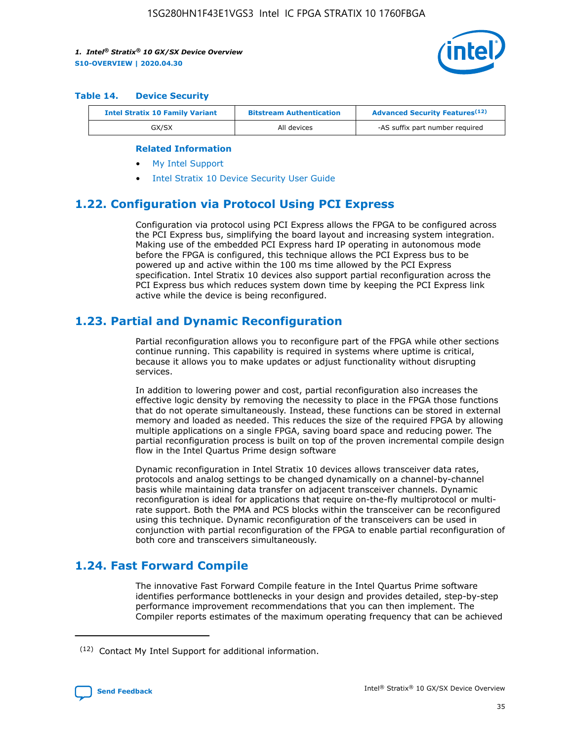

#### **Table 14. Device Security**

| <b>Intel Stratix 10 Family Variant</b> | <b>Bitstream Authentication</b> | <b>Advanced Security Features</b> <sup>(12)</sup> |
|----------------------------------------|---------------------------------|---------------------------------------------------|
| GX/SX                                  | All devices                     | -AS suffix part number required                   |

#### **Related Information**

- [My Intel Support](https://www.intel.com/content/www/us/en/programmable/my-intel/mal-home.html)
- [Intel Stratix 10 Device Security User Guide](https://www.intel.com/content/www/us/en/programmable/documentation/ndq1483601370898.html#wcd1483611014402)

## **1.22. Configuration via Protocol Using PCI Express**

Configuration via protocol using PCI Express allows the FPGA to be configured across the PCI Express bus, simplifying the board layout and increasing system integration. Making use of the embedded PCI Express hard IP operating in autonomous mode before the FPGA is configured, this technique allows the PCI Express bus to be powered up and active within the 100 ms time allowed by the PCI Express specification. Intel Stratix 10 devices also support partial reconfiguration across the PCI Express bus which reduces system down time by keeping the PCI Express link active while the device is being reconfigured.

## **1.23. Partial and Dynamic Reconfiguration**

Partial reconfiguration allows you to reconfigure part of the FPGA while other sections continue running. This capability is required in systems where uptime is critical, because it allows you to make updates or adjust functionality without disrupting services.

In addition to lowering power and cost, partial reconfiguration also increases the effective logic density by removing the necessity to place in the FPGA those functions that do not operate simultaneously. Instead, these functions can be stored in external memory and loaded as needed. This reduces the size of the required FPGA by allowing multiple applications on a single FPGA, saving board space and reducing power. The partial reconfiguration process is built on top of the proven incremental compile design flow in the Intel Quartus Prime design software

Dynamic reconfiguration in Intel Stratix 10 devices allows transceiver data rates, protocols and analog settings to be changed dynamically on a channel-by-channel basis while maintaining data transfer on adjacent transceiver channels. Dynamic reconfiguration is ideal for applications that require on-the-fly multiprotocol or multirate support. Both the PMA and PCS blocks within the transceiver can be reconfigured using this technique. Dynamic reconfiguration of the transceivers can be used in conjunction with partial reconfiguration of the FPGA to enable partial reconfiguration of both core and transceivers simultaneously.

## **1.24. Fast Forward Compile**

The innovative Fast Forward Compile feature in the Intel Quartus Prime software identifies performance bottlenecks in your design and provides detailed, step-by-step performance improvement recommendations that you can then implement. The Compiler reports estimates of the maximum operating frequency that can be achieved

<sup>(12)</sup> Contact My Intel Support for additional information.

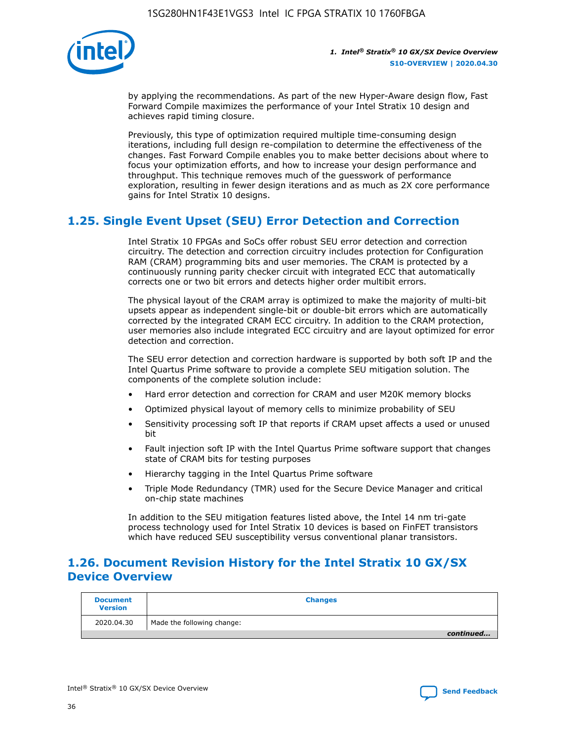

by applying the recommendations. As part of the new Hyper-Aware design flow, Fast Forward Compile maximizes the performance of your Intel Stratix 10 design and achieves rapid timing closure.

Previously, this type of optimization required multiple time-consuming design iterations, including full design re-compilation to determine the effectiveness of the changes. Fast Forward Compile enables you to make better decisions about where to focus your optimization efforts, and how to increase your design performance and throughput. This technique removes much of the guesswork of performance exploration, resulting in fewer design iterations and as much as 2X core performance gains for Intel Stratix 10 designs.

## **1.25. Single Event Upset (SEU) Error Detection and Correction**

Intel Stratix 10 FPGAs and SoCs offer robust SEU error detection and correction circuitry. The detection and correction circuitry includes protection for Configuration RAM (CRAM) programming bits and user memories. The CRAM is protected by a continuously running parity checker circuit with integrated ECC that automatically corrects one or two bit errors and detects higher order multibit errors.

The physical layout of the CRAM array is optimized to make the majority of multi-bit upsets appear as independent single-bit or double-bit errors which are automatically corrected by the integrated CRAM ECC circuitry. In addition to the CRAM protection, user memories also include integrated ECC circuitry and are layout optimized for error detection and correction.

The SEU error detection and correction hardware is supported by both soft IP and the Intel Quartus Prime software to provide a complete SEU mitigation solution. The components of the complete solution include:

- Hard error detection and correction for CRAM and user M20K memory blocks
- Optimized physical layout of memory cells to minimize probability of SEU
- Sensitivity processing soft IP that reports if CRAM upset affects a used or unused bit
- Fault injection soft IP with the Intel Quartus Prime software support that changes state of CRAM bits for testing purposes
- Hierarchy tagging in the Intel Quartus Prime software
- Triple Mode Redundancy (TMR) used for the Secure Device Manager and critical on-chip state machines

In addition to the SEU mitigation features listed above, the Intel 14 nm tri-gate process technology used for Intel Stratix 10 devices is based on FinFET transistors which have reduced SEU susceptibility versus conventional planar transistors.

## **1.26. Document Revision History for the Intel Stratix 10 GX/SX Device Overview**

| <b>Document</b><br><b>Version</b> | <b>Changes</b>             |
|-----------------------------------|----------------------------|
| 2020.04.30                        | Made the following change: |
|                                   | continued                  |

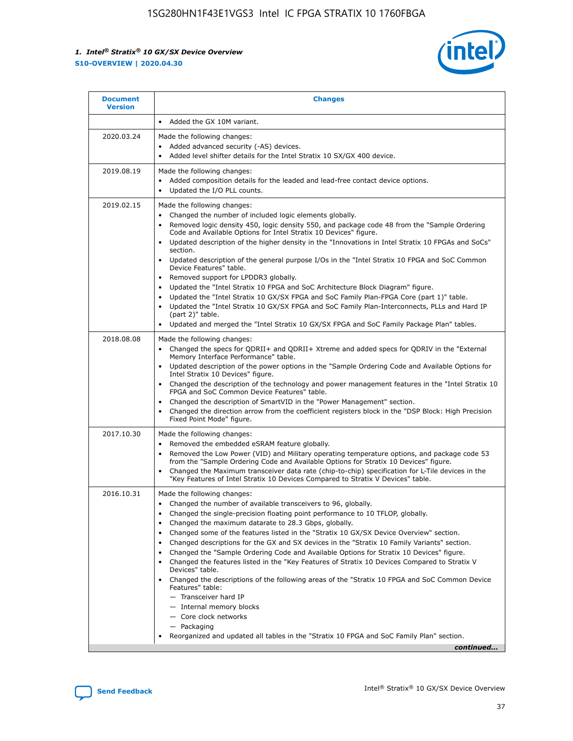

| <b>Document</b><br><b>Version</b> | <b>Changes</b>                                                                                                                                                                                                                                                                                                                                                                                                                                                                                                                                                                                                                                                                                                                                                                                                                                                                                                                                                                                                                 |
|-----------------------------------|--------------------------------------------------------------------------------------------------------------------------------------------------------------------------------------------------------------------------------------------------------------------------------------------------------------------------------------------------------------------------------------------------------------------------------------------------------------------------------------------------------------------------------------------------------------------------------------------------------------------------------------------------------------------------------------------------------------------------------------------------------------------------------------------------------------------------------------------------------------------------------------------------------------------------------------------------------------------------------------------------------------------------------|
|                                   | Added the GX 10M variant.                                                                                                                                                                                                                                                                                                                                                                                                                                                                                                                                                                                                                                                                                                                                                                                                                                                                                                                                                                                                      |
| 2020.03.24                        | Made the following changes:<br>Added advanced security (-AS) devices.<br>Added level shifter details for the Intel Stratix 10 SX/GX 400 device.                                                                                                                                                                                                                                                                                                                                                                                                                                                                                                                                                                                                                                                                                                                                                                                                                                                                                |
| 2019.08.19                        | Made the following changes:<br>Added composition details for the leaded and lead-free contact device options.<br>Updated the I/O PLL counts.<br>$\bullet$                                                                                                                                                                                                                                                                                                                                                                                                                                                                                                                                                                                                                                                                                                                                                                                                                                                                      |
| 2019.02.15                        | Made the following changes:<br>Changed the number of included logic elements globally.<br>Removed logic density 450, logic density 550, and package code 48 from the "Sample Ordering<br>$\bullet$<br>Code and Available Options for Intel Stratix 10 Devices" figure.<br>Updated description of the higher density in the "Innovations in Intel Stratix 10 FPGAs and SoCs"<br>section.<br>Updated description of the general purpose I/Os in the "Intel Stratix 10 FPGA and SoC Common<br>Device Features" table.<br>Removed support for LPDDR3 globally.<br>Updated the "Intel Stratix 10 FPGA and SoC Architecture Block Diagram" figure.<br>Updated the "Intel Stratix 10 GX/SX FPGA and SoC Family Plan-FPGA Core (part 1)" table.<br>$\bullet$<br>Updated the "Intel Stratix 10 GX/SX FPGA and SoC Family Plan-Interconnects, PLLs and Hard IP<br>(part 2)" table.<br>Updated and merged the "Intel Stratix 10 GX/SX FPGA and SoC Family Package Plan" tables.                                                           |
| 2018.08.08                        | Made the following changes:<br>Changed the specs for ODRII+ and ODRII+ Xtreme and added specs for ODRIV in the "External<br>$\bullet$<br>Memory Interface Performance" table.<br>Updated description of the power options in the "Sample Ordering Code and Available Options for<br>Intel Stratix 10 Devices" figure.<br>Changed the description of the technology and power management features in the "Intel Stratix 10<br>FPGA and SoC Common Device Features" table.<br>Changed the description of SmartVID in the "Power Management" section.<br>Changed the direction arrow from the coefficient registers block in the "DSP Block: High Precision<br>Fixed Point Mode" figure.                                                                                                                                                                                                                                                                                                                                          |
| 2017.10.30                        | Made the following changes:<br>Removed the embedded eSRAM feature globally.<br>$\bullet$<br>Removed the Low Power (VID) and Military operating temperature options, and package code 53<br>from the "Sample Ordering Code and Available Options for Stratix 10 Devices" figure.<br>Changed the Maximum transceiver data rate (chip-to-chip) specification for L-Tile devices in the<br>"Key Features of Intel Stratix 10 Devices Compared to Stratix V Devices" table.                                                                                                                                                                                                                                                                                                                                                                                                                                                                                                                                                         |
| 2016.10.31                        | Made the following changes:<br>• Changed the number of available transceivers to 96, globally.<br>Changed the single-precision floating point performance to 10 TFLOP, globally.<br>Changed the maximum datarate to 28.3 Gbps, globally.<br>Changed some of the features listed in the "Stratix 10 GX/SX Device Overview" section.<br>$\bullet$<br>Changed descriptions for the GX and SX devices in the "Stratix 10 Family Variants" section.<br>$\bullet$<br>Changed the "Sample Ordering Code and Available Options for Stratix 10 Devices" figure.<br>$\bullet$<br>Changed the features listed in the "Key Features of Stratix 10 Devices Compared to Stratix V<br>$\bullet$<br>Devices" table.<br>Changed the descriptions of the following areas of the "Stratix 10 FPGA and SoC Common Device<br>Features" table:<br>- Transceiver hard IP<br>- Internal memory blocks<br>- Core clock networks<br>- Packaging<br>Reorganized and updated all tables in the "Stratix 10 FPGA and SoC Family Plan" section.<br>continued |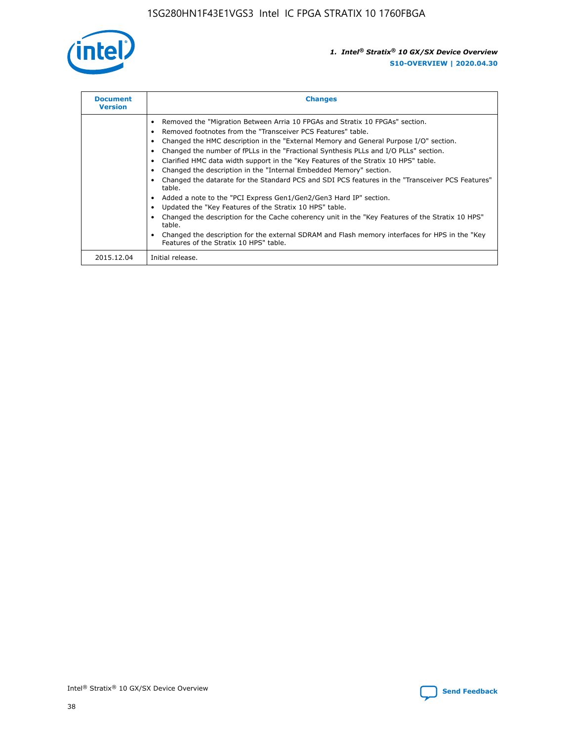

| <b>Document</b><br><b>Version</b> | <b>Changes</b>                                                                                                                                                                                                                                                                                                                                                                                                                                                                                                                                                                                                                                                                                                                                                                                                                                                                                                                                                                                     |
|-----------------------------------|----------------------------------------------------------------------------------------------------------------------------------------------------------------------------------------------------------------------------------------------------------------------------------------------------------------------------------------------------------------------------------------------------------------------------------------------------------------------------------------------------------------------------------------------------------------------------------------------------------------------------------------------------------------------------------------------------------------------------------------------------------------------------------------------------------------------------------------------------------------------------------------------------------------------------------------------------------------------------------------------------|
|                                   | Removed the "Migration Between Arria 10 FPGAs and Stratix 10 FPGAs" section.<br>Removed footnotes from the "Transceiver PCS Features" table.<br>Changed the HMC description in the "External Memory and General Purpose I/O" section.<br>Changed the number of fPLLs in the "Fractional Synthesis PLLs and I/O PLLs" section.<br>Clarified HMC data width support in the "Key Features of the Stratix 10 HPS" table.<br>Changed the description in the "Internal Embedded Memory" section.<br>Changed the datarate for the Standard PCS and SDI PCS features in the "Transceiver PCS Features"<br>table.<br>Added a note to the "PCI Express Gen1/Gen2/Gen3 Hard IP" section.<br>Updated the "Key Features of the Stratix 10 HPS" table.<br>Changed the description for the Cache coherency unit in the "Key Features of the Stratix 10 HPS"<br>table.<br>Changed the description for the external SDRAM and Flash memory interfaces for HPS in the "Key<br>Features of the Stratix 10 HPS" table. |
| 2015.12.04                        | Initial release.                                                                                                                                                                                                                                                                                                                                                                                                                                                                                                                                                                                                                                                                                                                                                                                                                                                                                                                                                                                   |